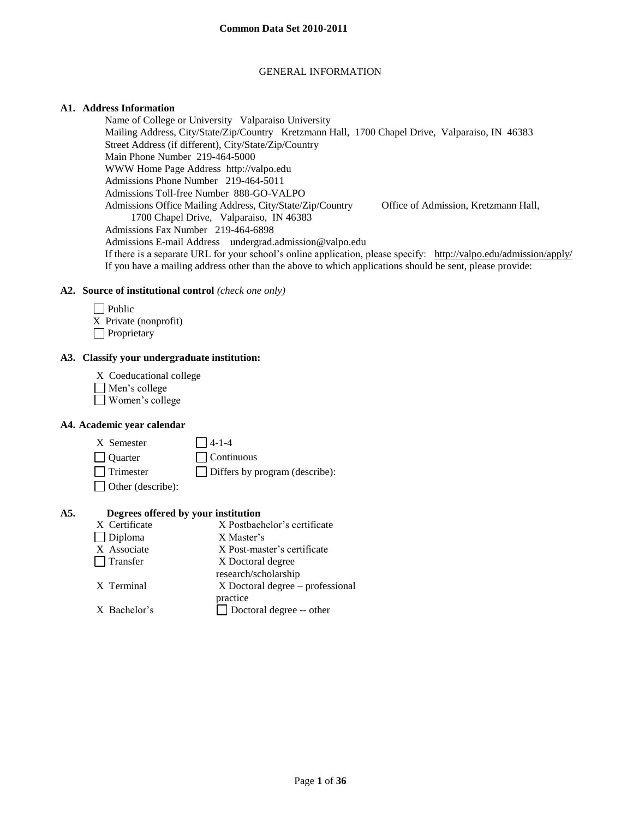## GENERAL INFORMATION

## **A1. Address Information**

Name of College or University Valparaiso University Mailing Address, City/State/Zip/Country Kretzmann Hall, 1700 Chapel Drive, Valparaiso, IN 46383 Street Address (if different), City/State/Zip/Country Main Phone Number 219-464-5000 WWW Home Page Address http://valpo.edu Admissions Phone Number 219-464-5011 Admissions Toll-free Number 888-GO-VALPO Admissions Office Mailing Address, City/State/Zip/Country Office of Admission, Kretzmann Hall, 1700 Chapel Drive, Valparaiso, IN 46383 Admissions Fax Number 219-464-6898 Admissions E-mail Address undergrad.admission@valpo.edu If there is a separate URL for your school's online application, please specify: <http://valpo.edu/admission/apply/> If you have a mailing address other than the above to which applications should be sent, please provide:

#### **A2. Source of institutional control** *(check one only)*

| $\Box$ Public         |
|-----------------------|
| X Private (nonprofit) |
| $\Box$ Proprietary    |

#### **A3. Classify your undergraduate institution:**

| X Coeducational college |  |
|-------------------------|--|
|                         |  |

- Men's college
- Women's college

#### **A4. Academic year calendar**

| X Semester               | $14-1-4$                              |
|--------------------------|---------------------------------------|
| <b>Quarter</b>           | $\Box$ Continuous                     |
| <b>Trimester</b>         | $\Box$ Differs by program (describe): |
| $\Box$ Other (describe): |                                       |

#### **A5. Degrees offered by your institution**

| X Certificate   | X Postbachelor's certificate     |
|-----------------|----------------------------------|
| $\Box$ Diploma  | X Master's                       |
| X Associate     | X Post-master's certificate      |
| $\Box$ Transfer | X Doctoral degree                |
|                 | research/scholarship             |
| X Terminal      | X Doctoral degree – professional |
|                 | practice                         |
| X Bachelor's    | Doctoral degree -- other         |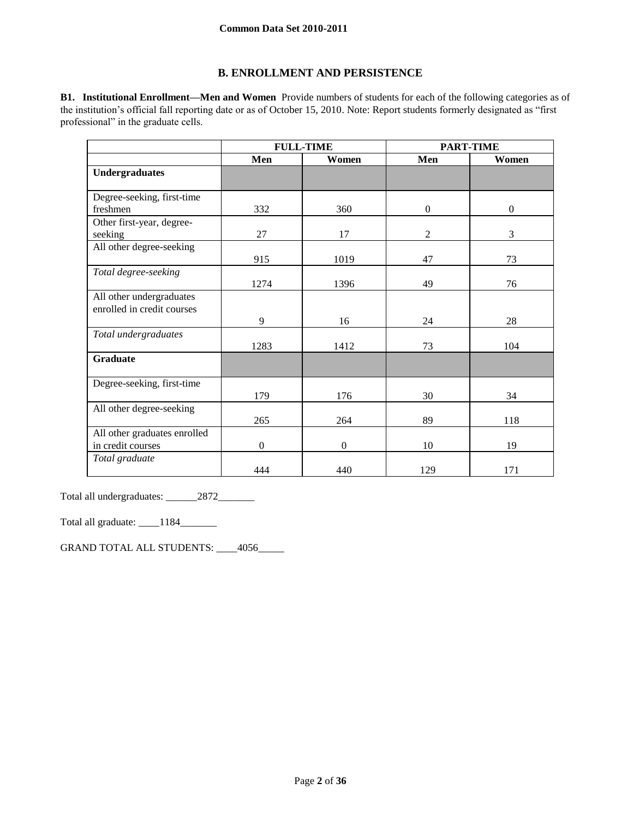# **B. ENROLLMENT AND PERSISTENCE**

**B1. Institutional Enrollment—Men and Women** Provide numbers of students for each of the following categories as of the institution's official fall reporting date or as of October 15, 2010. Note: Report students formerly designated as "first professional" in the graduate cells.

|                              |              | <b>FULL-TIME</b> |                | <b>PART-TIME</b> |
|------------------------------|--------------|------------------|----------------|------------------|
|                              | Men          | Women            | Men            | Women            |
| <b>Undergraduates</b>        |              |                  |                |                  |
|                              |              |                  |                |                  |
| Degree-seeking, first-time   |              |                  |                |                  |
| freshmen                     | 332          | 360              | $\overline{0}$ | $\mathbf{0}$     |
| Other first-year, degree-    |              |                  |                |                  |
| seeking                      | 27           | 17               | $\mathfrak{2}$ | 3                |
| All other degree-seeking     |              |                  |                |                  |
|                              | 915          | 1019             | 47             | 73               |
| Total degree-seeking         |              |                  |                |                  |
|                              | 1274         | 1396             | 49             | 76               |
| All other undergraduates     |              |                  |                |                  |
| enrolled in credit courses   |              |                  |                |                  |
|                              | 9            | 16               | 24             | 28               |
| Total undergraduates         |              |                  |                |                  |
|                              | 1283         | 1412             | 73             | 104              |
| <b>Graduate</b>              |              |                  |                |                  |
|                              |              |                  |                |                  |
| Degree-seeking, first-time   |              |                  |                |                  |
|                              | 179          | 176              | 30             | 34               |
| All other degree-seeking     |              |                  |                |                  |
|                              | 265          | 264              | 89             | 118              |
| All other graduates enrolled |              |                  |                |                  |
| in credit courses            | $\mathbf{0}$ | $\overline{0}$   | 10             | 19               |
| Total graduate               |              |                  |                |                  |
|                              | 444          | 440              | 129            | 171              |

Total all undergraduates: \_\_\_\_\_\_2872\_\_\_\_\_\_\_

Total all graduate: \_\_\_\_1184\_\_\_\_\_\_\_

GRAND TOTAL ALL STUDENTS: \_\_\_\_4056\_\_\_\_\_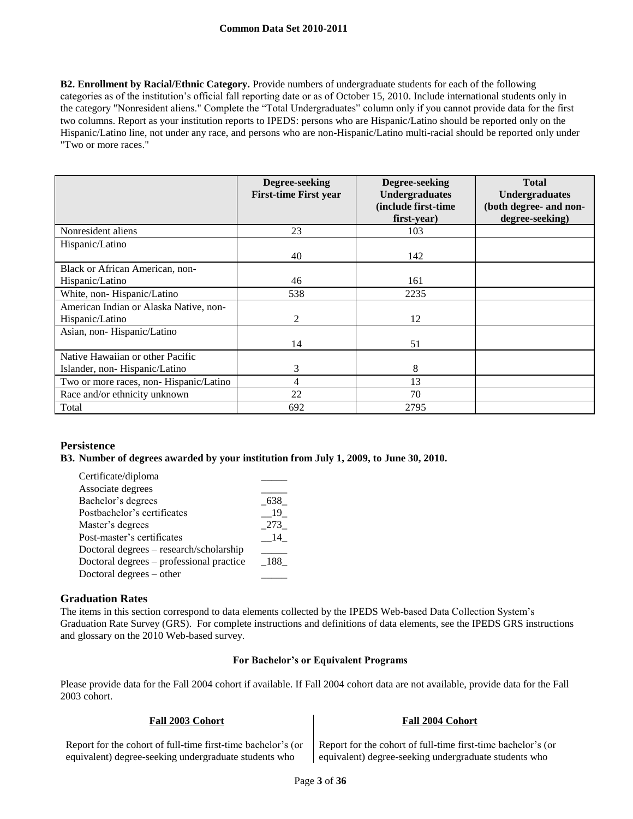**B2. Enrollment by Racial/Ethnic Category.** Provide numbers of undergraduate students for each of the following categories as of the institution's official fall reporting date or as of October 15, 2010. Include international students only in the category "Nonresident aliens." Complete the "Total Undergraduates" column only if you cannot provide data for the first two columns. Report as your institution reports to IPEDS: persons who are Hispanic/Latino should be reported only on the Hispanic/Latino line, not under any race, and persons who are non-Hispanic/Latino multi-racial should be reported only under "Two or more races."

|                                        | Degree-seeking<br><b>First-time First year</b> | Degree-seeking<br><b>Undergraduates</b><br>(include first-time<br>first-year) | <b>Total</b><br><b>Undergraduates</b><br>(both degree- and non-<br>degree-seeking) |
|----------------------------------------|------------------------------------------------|-------------------------------------------------------------------------------|------------------------------------------------------------------------------------|
| Nonresident aliens                     | 23                                             | 103                                                                           |                                                                                    |
| Hispanic/Latino                        |                                                |                                                                               |                                                                                    |
|                                        | 40                                             | 142                                                                           |                                                                                    |
| Black or African American, non-        |                                                |                                                                               |                                                                                    |
| Hispanic/Latino                        | 46                                             | 161                                                                           |                                                                                    |
| White, non-Hispanic/Latino             | 538                                            | 2235                                                                          |                                                                                    |
| American Indian or Alaska Native, non- |                                                |                                                                               |                                                                                    |
| Hispanic/Latino                        | $\mathcal{L}$                                  | 12                                                                            |                                                                                    |
| Asian, non-Hispanic/Latino             |                                                |                                                                               |                                                                                    |
|                                        | 14                                             | 51                                                                            |                                                                                    |
| Native Hawaiian or other Pacific       |                                                |                                                                               |                                                                                    |
| Islander, non-Hispanic/Latino          | 3                                              | 8                                                                             |                                                                                    |
| Two or more races, non-Hispanic/Latino | 4                                              | 13                                                                            |                                                                                    |
| Race and/or ethnicity unknown          | 22                                             | 70                                                                            |                                                                                    |
| Total                                  | 692                                            | 2795                                                                          |                                                                                    |

## **Persistence**

**B3. Number of degrees awarded by your institution from July 1, 2009, to June 30, 2010.**

| Certificate/diploma                      |      |
|------------------------------------------|------|
| Associate degrees                        |      |
| Bachelor's degrees                       | 638  |
| Postbachelor's certificates              | 19.  |
| Master's degrees                         | 273  |
| Post-master's certificates               | - 14 |
| Doctoral degrees - research/scholarship  |      |
| Doctoral degrees – professional practice | 188  |
| Doctoral degrees – other                 |      |
|                                          |      |

# **Graduation Rates**

The items in this section correspond to data elements collected by the IPEDS Web-based Data Collection System's Graduation Rate Survey (GRS). For complete instructions and definitions of data elements, see the IPEDS GRS instructions and glossary on the 2010 Web-based survey.

#### **For Bachelor's or Equivalent Programs**

Please provide data for the Fall 2004 cohort if available. If Fall 2004 cohort data are not available, provide data for the Fall 2003 cohort.

| Report for the cohort of full-time first-time bachelor's (or | Report for the cohort of full-time first-time bachelor's (or |
|--------------------------------------------------------------|--------------------------------------------------------------|
| equivalent) degree-seeking undergraduate students who        | equivalent) degree-seeking undergraduate students who        |

**Fall 2003 Cohort Fall 2004 Cohort**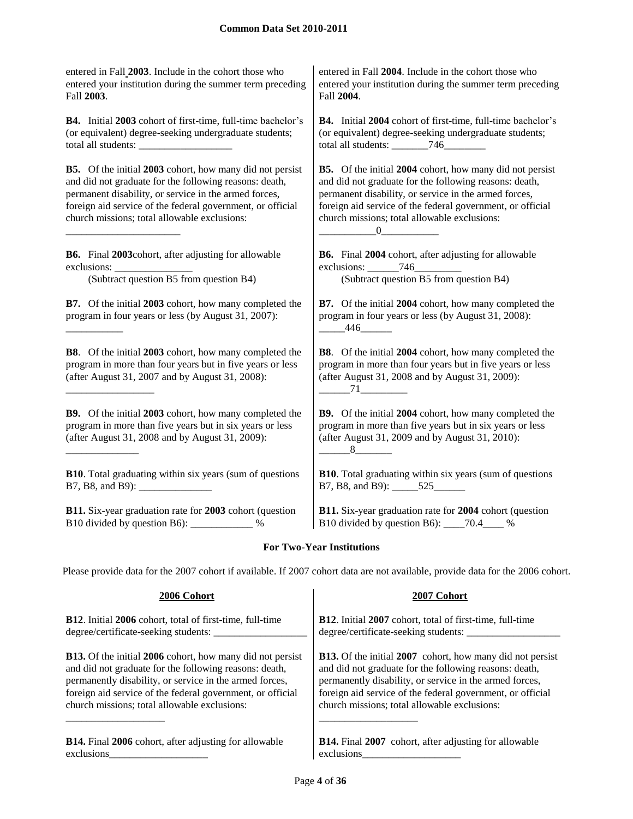entered in Fall **2003**. Include in the cohort those who entered your institution during the summer term preceding Fall **2003**.

**B4.** Initial **2003** cohort of first-time, full-time bachelor's (or equivalent) degree-seeking undergraduate students; total all students:

**B5.** Of the initial **2003** cohort, how many did not persist and did not graduate for the following reasons: death, permanent disability, or service in the armed forces, foreign aid service of the federal government, or official church missions; total allowable exclusions:

**B6.** Final **2003**cohort, after adjusting for allowable exclusions: \_

\_\_\_\_\_\_\_\_\_\_\_\_\_\_\_\_\_\_\_\_\_\_

\_\_\_\_\_\_\_\_\_\_\_

\_\_\_\_\_\_\_\_\_\_\_\_\_\_\_\_\_

\_\_\_\_\_\_\_\_\_\_\_\_\_\_

**B7.** Of the initial **2003** cohort, how many completed the program in four years or less (by August 31, 2007):

**B8**. Of the initial **2003** cohort, how many completed the program in more than four years but in five years or less (after August 31, 2007 and by August 31, 2008):

**B9.** Of the initial **2003** cohort, how many completed the program in more than five years but in six years or less (after August 31, 2008 and by August 31, 2009):

**B10**. Total graduating within six years (sum of questions B7, B8, and B9):

**B11.** Six-year graduation rate for **2003** cohort (question B10 divided by question B6): \_\_\_\_\_\_\_\_\_\_\_\_ %

entered in Fall **2004**. Include in the cohort those who entered your institution during the summer term preceding Fall **2004**.

**B4.** Initial **2004** cohort of first-time, full-time bachelor's (or equivalent) degree-seeking undergraduate students; total all students:  $\frac{746}{ }$ 

**B5.** Of the initial **2004** cohort, how many did not persist and did not graduate for the following reasons: death, permanent disability, or service in the armed forces, foreign aid service of the federal government, or official church missions; total allowable exclusions:  $\overline{0}$ 

**B6.** Final **2004** cohort, after adjusting for allowable exclusions: 746 (Subtract question B5 from question B4) (Subtract question B5 from question B4)

> **B7.** Of the initial **2004** cohort, how many completed the program in four years or less (by August 31, 2008): \_\_\_\_\_446\_\_\_\_\_\_

> **B8**. Of the initial **2004** cohort, how many completed the program in more than four years but in five years or less (after August 31, 2008 and by August 31, 2009):  $-71$ <sub>-</sub>

> **B9.** Of the initial **2004** cohort, how many completed the program in more than five years but in six years or less (after August 31, 2009 and by August 31, 2010):  $-8$

**B10**. Total graduating within six years (sum of questions B7, B8, and B9): \_\_\_\_\_525\_\_\_\_\_\_

**B11.** Six-year graduation rate for **2004** cohort (question B10 divided by question B6): \_\_\_\_70.4\_\_\_\_ %

# **For Two-Year Institutions**

Please provide data for the 2007 cohort if available. If 2007 cohort data are not available, provide data for the 2006 cohort.

| 2006 Cohort                                                      | 2007 Cohort                                                      |
|------------------------------------------------------------------|------------------------------------------------------------------|
| B12. Initial 2006 cohort, total of first-time, full-time         | B12. Initial 2007 cohort, total of first-time, full-time         |
| degree/certificate-seeking students:                             | degree/certificate-seeking students:                             |
| <b>B13.</b> Of the initial 2006 cohort, how many did not persist | <b>B13.</b> Of the initial 2007 cohort, how many did not persist |
| and did not graduate for the following reasons: death,           | and did not graduate for the following reasons: death,           |
| permanently disability, or service in the armed forces,          | permanently disability, or service in the armed forces,          |
| foreign aid service of the federal government, or official       | foreign aid service of the federal government, or official       |
| church missions; total allowable exclusions:                     | church missions; total allowable exclusions:                     |
| <b>B14.</b> Final 2006 cohort, after adjusting for allowable     | <b>B14.</b> Final 2007 cohort, after adjusting for allowable     |
| exclusions                                                       | exclusions                                                       |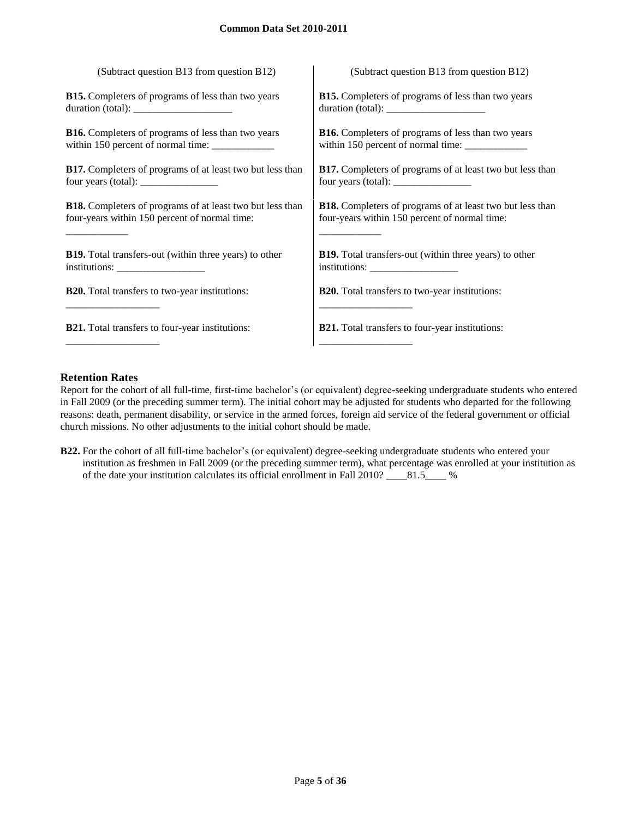| (Subtract question B13 from question B12)                                                 | (Subtract question B13 from question B12)                        |
|-------------------------------------------------------------------------------------------|------------------------------------------------------------------|
| <b>B15.</b> Completers of programs of less than two years                                 | <b>B15.</b> Completers of programs of less than two years        |
|                                                                                           | duration (total):                                                |
| <b>B16.</b> Completers of programs of less than two years                                 | <b>B16.</b> Completers of programs of less than two years        |
|                                                                                           | within 150 percent of normal time: ____________                  |
| <b>B17.</b> Completers of programs of at least two but less than                          | <b>B17.</b> Completers of programs of at least two but less than |
| four years (total): $\frac{1}{\sqrt{1-\frac{1}{2}} \cdot \frac{1}{\sqrt{1-\frac{1}{2}}}}$ | four years (total): $\frac{1}{2}$                                |
| <b>B18.</b> Completers of programs of at least two but less than                          | <b>B18.</b> Completers of programs of at least two but less than |
| four-years within 150 percent of normal time:                                             | four-years within 150 percent of normal time:                    |
| <b>B19.</b> Total transfers-out (within three years) to other                             | B19. Total transfers-out (within three years) to other           |
| institutions:                                                                             |                                                                  |
| <b>B20.</b> Total transfers to two-year institutions:                                     | <b>B20.</b> Total transfers to two-year institutions:            |
|                                                                                           |                                                                  |
| <b>B21.</b> Total transfers to four-year institutions:                                    | <b>B21.</b> Total transfers to four-year institutions:           |
|                                                                                           |                                                                  |

# **Retention Rates**

Report for the cohort of all full-time, first-time bachelor's (or equivalent) degree-seeking undergraduate students who entered in Fall 2009 (or the preceding summer term). The initial cohort may be adjusted for students who departed for the following reasons: death, permanent disability, or service in the armed forces, foreign aid service of the federal government or official church missions. No other adjustments to the initial cohort should be made.

**B22.** For the cohort of all full-time bachelor's (or equivalent) degree-seeking undergraduate students who entered your institution as freshmen in Fall 2009 (or the preceding summer term), what percentage was enrolled at your institution as of the date your institution calculates its official enrollment in Fall 2010? \_\_\_\_81.5\_\_\_\_ %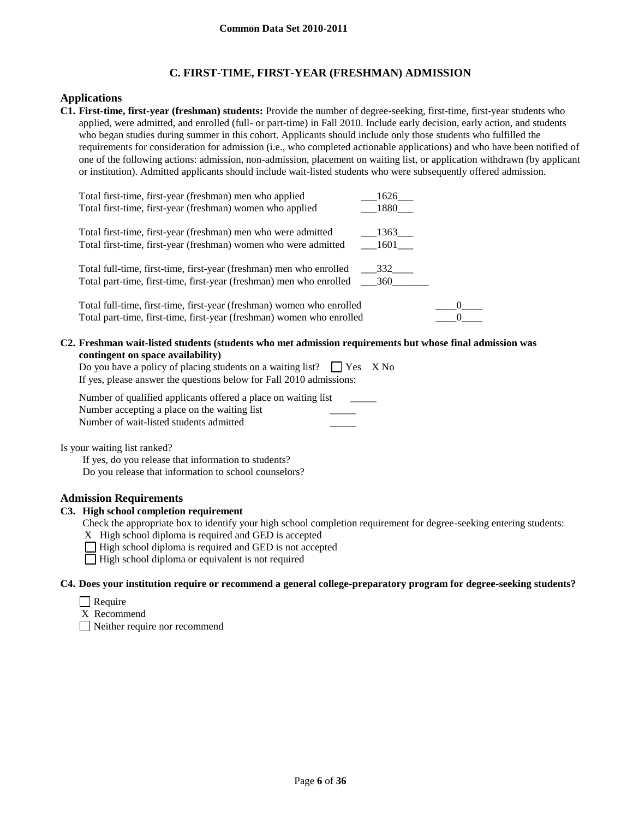# **C. FIRST-TIME, FIRST-YEAR (FRESHMAN) ADMISSION**

## **Applications**

**C1. First-time, first-year (freshman) students:** Provide the number of degree-seeking, first-time, first-year students who applied, were admitted, and enrolled (full- or part-time) in Fall 2010. Include early decision, early action, and students who began studies during summer in this cohort. Applicants should include only those students who fulfilled the requirements for consideration for admission (i.e., who completed actionable applications) and who have been notified of one of the following actions: admission, non-admission, placement on waiting list, or application withdrawn (by applicant or institution). Admitted applicants should include wait-listed students who were subsequently offered admission.

| Total first-time, first-year (freshman) men who applied<br>Total first-time, first-year (freshman) women who applied                           | 1626<br>1880    |
|------------------------------------------------------------------------------------------------------------------------------------------------|-----------------|
| Total first-time, first-year (freshman) men who were admitted<br>Total first-time, first-year (freshman) women who were admitted               | 1363<br>$-1601$ |
| Total full-time, first-time, first-year (freshman) men who enrolled                                                                            | 332             |
| Total full-time, first-time, first-year (freshman) women who enrolled<br>Total part-time, first-time, first-year (freshman) women who enrolled |                 |
| . Freshman wait-listed students (students who met admission requirements but whose final admis                                                 |                 |

**C2. Freshman wait-listed students (students who met admission requirements but whose final admission was contingent on space availability)**

| Do you have a policy of placing students on a waiting list? $\Box$ Yes X No |  |
|-----------------------------------------------------------------------------|--|
| If yes, please answer the questions below for Fall 2010 admissions:         |  |

Number of qualified applicants offered a place on waiting list Number accepting a place on the waiting list Number of wait-listed students admitted \_\_\_\_\_

Is your waiting list ranked?

If yes, do you release that information to students? Do you release that information to school counselors?

## **Admission Requirements**

## **C3. High school completion requirement**

Check the appropriate box to identify your high school completion requirement for degree-seeking entering students:

X High school diploma is required and GED is accepted

 $\Box$  High school diploma is required and GED is not accepted

 $\Box$  High school diploma or equivalent is not required

**C4. Does your institution require or recommend a general college-preparatory program for degree-seeking students?**

- $\Box$  Require
- X Recommend

Neither require nor recommend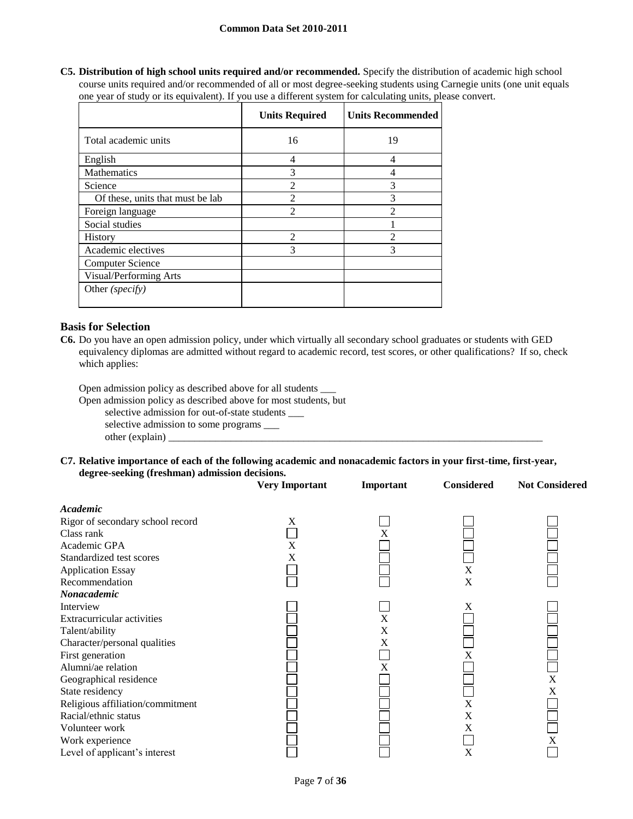#### **Common Data Set 2010-2011**

**C5. Distribution of high school units required and/or recommended.** Specify the distribution of academic high school course units required and/or recommended of all or most degree-seeking students using Carnegie units (one unit equals one year of study or its equivalent). If you use a different system for calculating units, please convert.

|                                  | <b>Units Required</b>       | <b>Units Recommended</b> |
|----------------------------------|-----------------------------|--------------------------|
| Total academic units             | 16                          | 19                       |
| English                          | 4                           | 4                        |
| <b>Mathematics</b>               | 3                           | 4                        |
| Science                          | $\mathfrak{D}$              | 3                        |
| Of these, units that must be lab | $\mathfrak{D}$              | 3                        |
| Foreign language                 | $\mathfrak{D}$              | $\mathfrak{D}$           |
| Social studies                   |                             |                          |
| <b>History</b>                   | $\mathcal{D}_{\mathcal{L}}$ | っ                        |
| Academic electives               | 3                           | 3                        |
| <b>Computer Science</b>          |                             |                          |
| Visual/Performing Arts           |                             |                          |
| Other (specify)                  |                             |                          |

## **Basis for Selection**

**C6.** Do you have an open admission policy, under which virtually all secondary school graduates or students with GED equivalency diplomas are admitted without regard to academic record, test scores, or other qualifications? If so, check which applies:

Open admission policy as described above for all students \_\_\_

Open admission policy as described above for most students, but

selective admission for out-of-state students \_\_\_

selective admission to some programs \_\_\_

 $other (explain)$ 

#### **C7. Relative importance of each of the following academic and nonacademic factors in your first-time, first-year, degree-seeking (freshman) admission decisions.**

|                                                                                                                                                                                                                                                                                                                                   | <b>Very Important</b> | Important        | <b>Considered</b>          | <b>Not Considered</b> |
|-----------------------------------------------------------------------------------------------------------------------------------------------------------------------------------------------------------------------------------------------------------------------------------------------------------------------------------|-----------------------|------------------|----------------------------|-----------------------|
| Academic<br>Rigor of secondary school record<br>Class rank<br>Academic GPA<br>Standardized test scores<br><b>Application Essay</b><br>Recommendation                                                                                                                                                                              | X<br>X<br>X           | X                | X<br>X                     |                       |
| Nonacademic<br>Interview<br>Extracurricular activities<br>Talent/ability<br>Character/personal qualities<br>First generation<br>Alumni/ae relation<br>Geographical residence<br>State residency<br>Religious affiliation/commitment<br>Racial/ethnic status<br>Volunteer work<br>Work experience<br>Level of applicant's interest |                       | X<br>X<br>X<br>X | X<br>X<br>X<br>X<br>X<br>X | $\mathbf X$<br>X<br>X |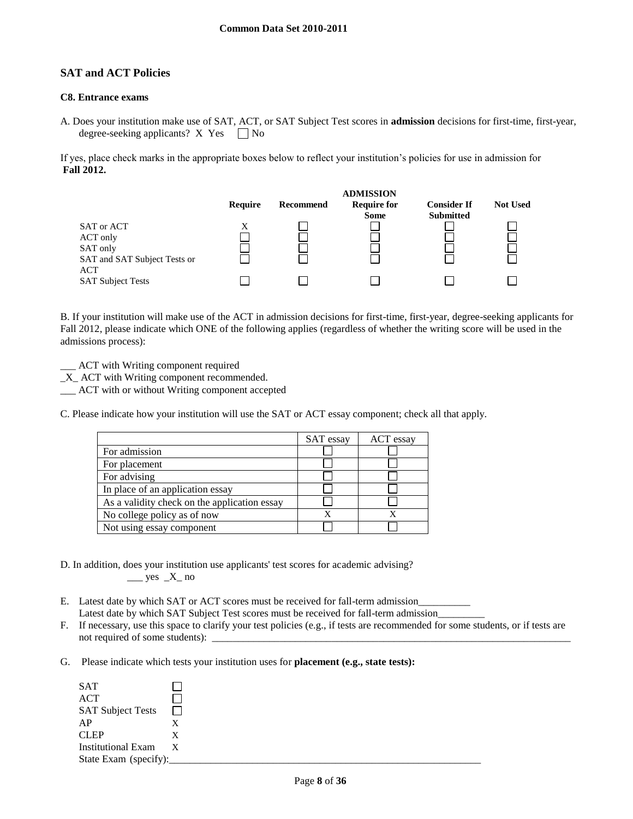## **SAT and ACT Policies**

#### **C8. Entrance exams**

A. Does your institution make use of SAT, ACT, or SAT Subject Test scores in **admission** decisions for first-time, first-year, degree-seeking applicants?  $X$  Yes  $\Box$  No

If yes, place check marks in the appropriate boxes below to reflect your institution's policies for use in admission for **Fall 2012.**



B. If your institution will make use of the ACT in admission decisions for first-time, first-year, degree-seeking applicants for Fall 2012, please indicate which ONE of the following applies (regardless of whether the writing score will be used in the admissions process):

ACT with Writing component required

\_X\_ ACT with Writing component recommended.

\_\_\_ ACT with or without Writing component accepted

C. Please indicate how your institution will use the SAT or ACT essay component; check all that apply.

|                                              | SAT essay | ACT essay |
|----------------------------------------------|-----------|-----------|
| For admission                                |           |           |
| For placement                                |           |           |
| For advising                                 |           |           |
| In place of an application essay             |           |           |
| As a validity check on the application essay |           |           |
| No college policy as of now                  |           |           |
| Not using essay component                    |           |           |

D. In addition, does your institution use applicants' test scores for academic advising?  $\_\_\_\$ yes  $\_\_\_X\_\$ no

- E. Latest date by which SAT or ACT scores must be received for fall-term admission\_\_\_\_\_\_\_\_\_\_ Latest date by which SAT Subject Test scores must be received for fall-term admission\_
- F. If necessary, use this space to clarify your test policies (e.g., if tests are recommended for some students, or if tests are not required of some students):
- G. Please indicate which tests your institution uses for **placement (e.g., state tests):**

| <b>SAT</b>                |              |  |  |
|---------------------------|--------------|--|--|
| <b>ACT</b>                |              |  |  |
| <b>SAT Subject Tests</b>  | $\perp$      |  |  |
| AP                        | Х            |  |  |
| <b>CLEP</b>               | X            |  |  |
| <b>Institutional Exam</b> | $\mathbf{X}$ |  |  |
| State Exam (specify):     |              |  |  |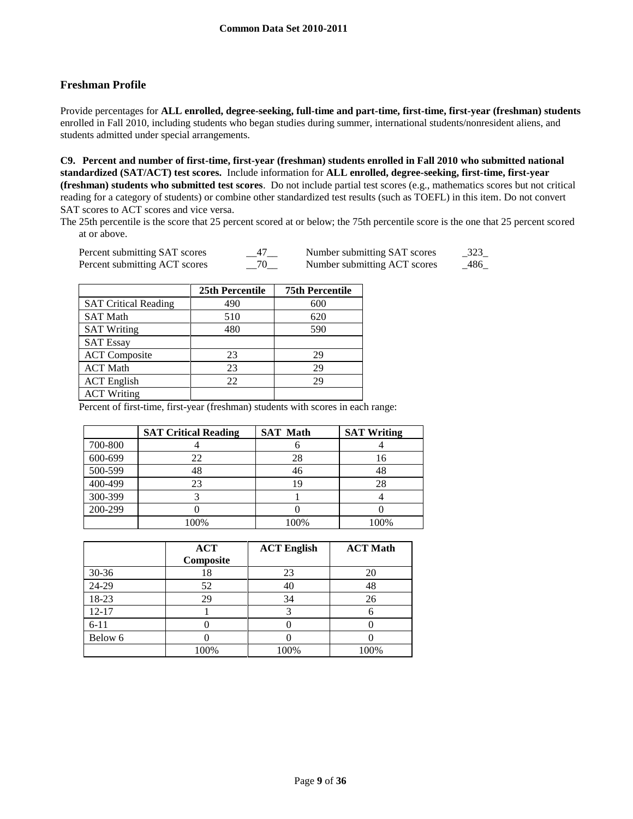# **Freshman Profile**

Provide percentages for **ALL enrolled, degree-seeking, full-time and part-time, first-time, first-year (freshman) students**  enrolled in Fall 2010, including students who began studies during summer, international students/nonresident aliens, and students admitted under special arrangements.

**C9. Percent and number of first-time, first-year (freshman) students enrolled in Fall 2010 who submitted national standardized (SAT/ACT) test scores.** Include information for **ALL enrolled, degree-seeking, first-time, first-year (freshman) students who submitted test scores**. Do not include partial test scores (e.g., mathematics scores but not critical reading for a category of students) or combine other standardized test results (such as TOEFL) in this item. Do not convert SAT scores to ACT scores and vice versa.

The 25th percentile is the score that 25 percent scored at or below; the 75th percentile score is the one that 25 percent scored at or above.

| Percent submitting SAT scores | __47__   | Number submitting SAT scores | 323 |
|-------------------------------|----------|------------------------------|-----|
| Percent submitting ACT scores | $-^{70}$ | Number submitting ACT scores | 486 |

|                             | 25th Percentile | <b>75th Percentile</b> |
|-----------------------------|-----------------|------------------------|
| <b>SAT Critical Reading</b> | 490             | 600                    |
| <b>SAT Math</b>             | 510             | 620                    |
| <b>SAT Writing</b>          | 480             | 590                    |
| <b>SAT Essay</b>            |                 |                        |
| <b>ACT</b> Composite        | 23              | 29                     |
| <b>ACT Math</b>             | 23              | 29                     |
| <b>ACT</b> English          | 22              | 29                     |
| <b>ACT Writing</b>          |                 |                        |

Percent of first-time, first-year (freshman) students with scores in each range:

|         | <b>SAT Critical Reading</b> | <b>SAT Math</b> | <b>SAT Writing</b> |
|---------|-----------------------------|-----------------|--------------------|
| 700-800 |                             |                 |                    |
| 600-699 | 22                          | 28              | 16                 |
| 500-599 | 48                          | 46              | 48                 |
| 400-499 | 23                          | 19              | 28                 |
| 300-399 |                             |                 |                    |
| 200-299 |                             |                 |                    |
|         | 100%                        | 100%            | 100%               |

|           | <b>ACT</b><br>Composite | <b>ACT English</b> | <b>ACT Math</b> |
|-----------|-------------------------|--------------------|-----------------|
| $30 - 36$ | 18                      | 23                 | 20              |
| 24-29     | 52                      | 40                 | 48              |
| 18-23     | 29                      | 34                 | 26              |
| $12 - 17$ |                         |                    |                 |
| $6 - 11$  |                         |                    |                 |
| Below 6   |                         |                    |                 |
|           | 100%                    | 100%               | 100%            |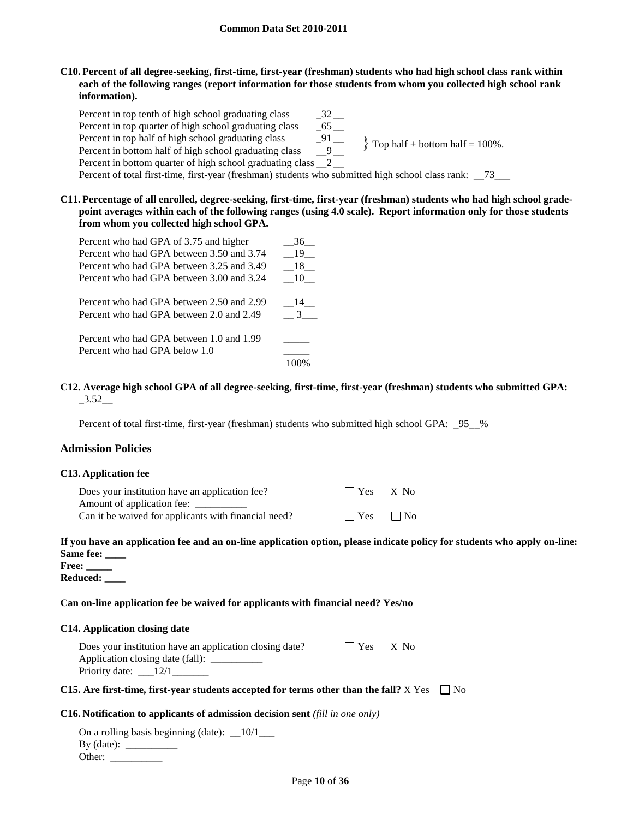**C10. Percent of all degree-seeking, first-time, first-year (freshman) students who had high school class rank within each of the following ranges (report information for those students from whom you collected high school rank information).**

Percent in top tenth of high school graduating class \_\_\_\_\_\_\_\_\_\_\_\_\_\_\_\_\_\_\_\_\_\_\_\_\_\_\_\_ Percent in top quarter of high school graduating class \_\_65 \_\_<br>Percent in top half of high school graduating class \_\_91 \_\_<br>Percent in bottom half of high school graduating class \_\_9\_\_ Percent in top half of high school graduating class Percent in bottom half of high school graduating class Percent in bottom quarter of high school graduating class \_\_2 \_\_ Percent of total first-time, first-year (freshman) students who submitted high school class rank: \_\_73\_\_\_  $\}$  Top half + bottom half = 100%.

**C11. Percentage of all enrolled, degree-seeking, first-time, first-year (freshman) students who had high school gradepoint averages within each of the following ranges (using 4.0 scale). Report information only for those students from whom you collected high school GPA.**

| Percent who had GPA of 3.75 and higher    | 36            |
|-------------------------------------------|---------------|
| Percent who had GPA between 3.50 and 3.74 | - 19 -        |
| Percent who had GPA between 3.25 and 3.49 | - 18 -        |
| Percent who had GPA between 3.00 and 3.24 | - 10 -        |
| Percent who had GPA between 2.50 and 2.99 | 14            |
| Percent who had GPA between 2.0 and 2.49  | $\mathcal{R}$ |
| Percent who had GPA between 1.0 and 1.99  |               |
| Percent who had GPA below 1.0             |               |
|                                           |               |

#### **C12. Average high school GPA of all degree-seeking, first-time, first-year (freshman) students who submitted GPA:** \_3.52\_\_

Percent of total first-time, first-year (freshman) students who submitted high school GPA:  $\_95\_%$ 

## **Admission Policies**

#### **C13. Application fee**

| Does your institution have an application fee?       | $\Box$ Yes $X$ No    |  |
|------------------------------------------------------|----------------------|--|
| Amount of application fee: _                         |                      |  |
| Can it be waived for applicants with financial need? | $\Box$ Yes $\Box$ No |  |

# **If you have an application fee and an on-line application option, please indicate policy for students who apply on-line: Same fee: \_\_\_\_**

**Free: \_\_\_\_\_ Reduced: \_\_\_\_**

## **Can on-line application fee be waived for applicants with financial need? Yes/no**

#### **C14. Application closing date**

| Does your institution have an application closing date? | $\blacksquare$ $\blacksquare$ $\mathbf{Yes}$ $\blacksquare$ $\mathbf{X}$ $\mathbf{No}$ |                               |
|---------------------------------------------------------|----------------------------------------------------------------------------------------|-------------------------------|
| Application closing date (fall): ____                   |                                                                                        |                               |
| Priority date: $\frac{12}{1}$                           |                                                                                        |                               |
| $\sim$ $\sim$ $\sim$                                    |                                                                                        | $\mathbf{a}$ and $\mathbf{b}$ |

## **C15.** Are first-time, first-year students accepted for terms other than the fall?  $X$  Yes  $\Box$  No

#### **C16. Notification to applicants of admission decision sent** *(fill in one only)*

On a rolling basis beginning (date):  $\_\_10/1$ By (date): \_\_\_\_\_\_\_\_\_\_ Other: \_\_\_\_\_\_\_\_\_\_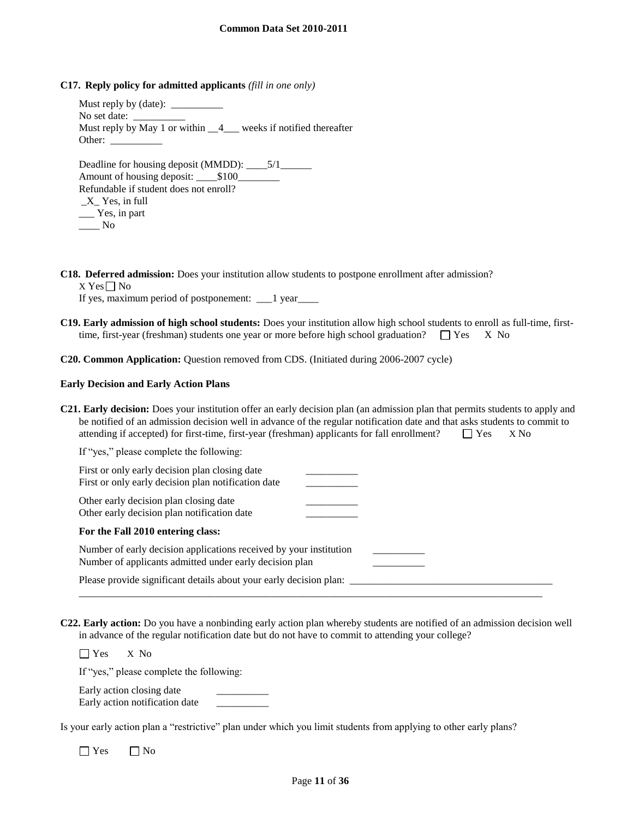**C17. Reply policy for admitted applicants** *(fill in one only)*

Must reply by (date): No set date: Must reply by May 1 or within  $\frac{4}{4}$  weeks if notified thereafter Other:

Deadline for housing deposit (MMDD): \_\_\_\_5/1\_\_\_\_\_\_\_ Amount of housing deposit: \_\_\_\_\$100\_\_\_\_\_\_\_\_ Refundable if student does not enroll? \_X\_ Yes, in full \_\_\_ Yes, in part  $\_\_$  No

**C18. Deferred admission:** Does your institution allow students to postpone enrollment after admission?

 $X$  Yes  $\neg$  No

If yes, maximum period of postponement: \_\_\_1 year\_\_\_\_

**C19. Early admission of high school students:** Does your institution allow high school students to enroll as full-time, firsttime, first-year (freshman) students one year or more before high school graduation?  $\Box$  Yes X No

**C20. Common Application:** Question removed from CDS. (Initiated during 2006-2007 cycle)

#### **Early Decision and Early Action Plans**

**C21. Early decision:** Does your institution offer an early decision plan (an admission plan that permits students to apply and be notified of an admission decision well in advance of the regular notification date and that asks students to commit to attending if accepted) for first-time, first-year (freshman) applicants for fall enrollment?  $\Box$  Yes  $X$  No

| If "yes," please complete the following:                                                                                      |  |
|-------------------------------------------------------------------------------------------------------------------------------|--|
| First or only early decision plan closing date<br>First or only early decision plan notification date                         |  |
| Other early decision plan closing date<br>Other early decision plan notification date                                         |  |
| For the Fall 2010 entering class:                                                                                             |  |
| Number of early decision applications received by your institution<br>Number of applicants admitted under early decision plan |  |
| Please provide significant details about your early decision plan:                                                            |  |

**C22. Early action:** Do you have a nonbinding early action plan whereby students are notified of an admission decision well in advance of the regular notification date but do not have to commit to attending your college?

Yes X No

If "yes," please complete the following:

Early action closing date Early action notification date \_\_\_\_\_\_\_\_\_\_

Is your early action plan a "restrictive" plan under which you limit students from applying to other early plans?

 $\Box$  Yes  $\Box$  No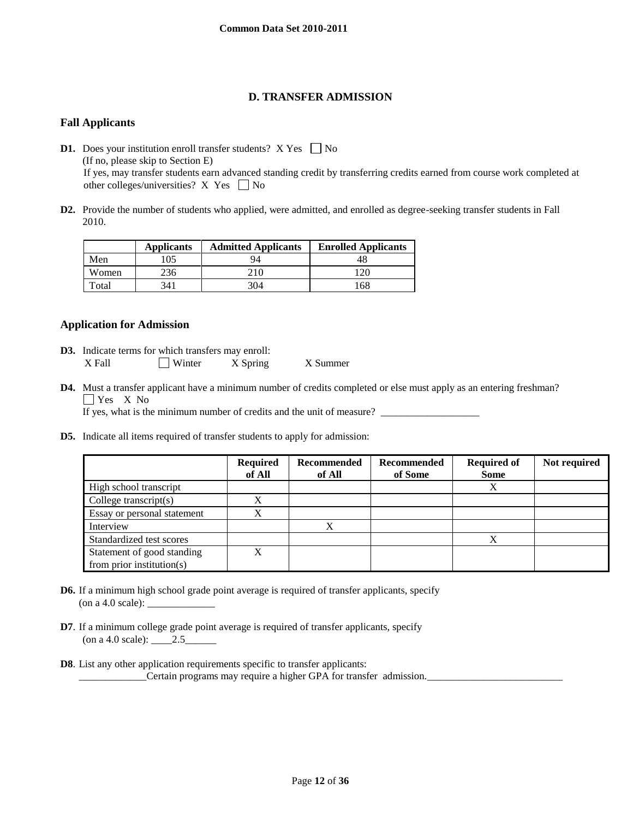# **D. TRANSFER ADMISSION**

## **Fall Applicants**

**D1.** Does your institution enroll transfer students?  $X$  Yes  $\Box$  No (If no, please skip to Section E) If yes, may transfer students earn advanced standing credit by transferring credits earned from course work completed at other colleges/universities? X Yes  $\Box$  No

**D2.** Provide the number of students who applied, were admitted, and enrolled as degree-seeking transfer students in Fall 2010.

|       | <b>Applicants</b> | <b>Admitted Applicants</b> | <b>Enrolled Applicants</b> |
|-------|-------------------|----------------------------|----------------------------|
| Men   | 105               | 94                         | 4۲                         |
| Women | 236               |                            | 120                        |
| Total | 341               | 304                        | 168                        |

## **Application for Admission**

- **D3.** Indicate terms for which transfers may enroll: X Fall Winter X Spring X Summer
- **D4.** Must a transfer applicant have a minimum number of credits completed or else must apply as an entering freshman? Yes X<sub>No</sub>

If yes, what is the minimum number of credits and the unit of measure?

**D5.** Indicate all items required of transfer students to apply for admission:

|                               | <b>Required</b><br>of All | Recommended<br>of All | Recommended<br>of Some | <b>Required of</b><br><b>Some</b> | Not required |
|-------------------------------|---------------------------|-----------------------|------------------------|-----------------------------------|--------------|
| High school transcript        |                           |                       |                        | Χ                                 |              |
| College transcript $(s)$      | X                         |                       |                        |                                   |              |
| Essay or personal statement   | X                         |                       |                        |                                   |              |
| Interview                     |                           | X                     |                        |                                   |              |
| Standardized test scores      |                           |                       |                        | X                                 |              |
| Statement of good standing    | X                         |                       |                        |                                   |              |
| from prior institution( $s$ ) |                           |                       |                        |                                   |              |

- **D6.** If a minimum high school grade point average is required of transfer applicants, specify (on a 4.0 scale):  $\overline{\phantom{a}}$
- **D7**. If a minimum college grade point average is required of transfer applicants, specify (on a 4.0 scale): \_\_\_\_2.5\_\_\_\_\_\_
- **D8**. List any other application requirements specific to transfer applicants: \_\_\_\_\_\_\_\_\_\_\_\_\_Certain programs may require a higher GPA for transfer admission.\_\_\_\_\_\_\_\_\_\_\_\_\_\_\_\_\_\_\_\_\_\_\_\_\_\_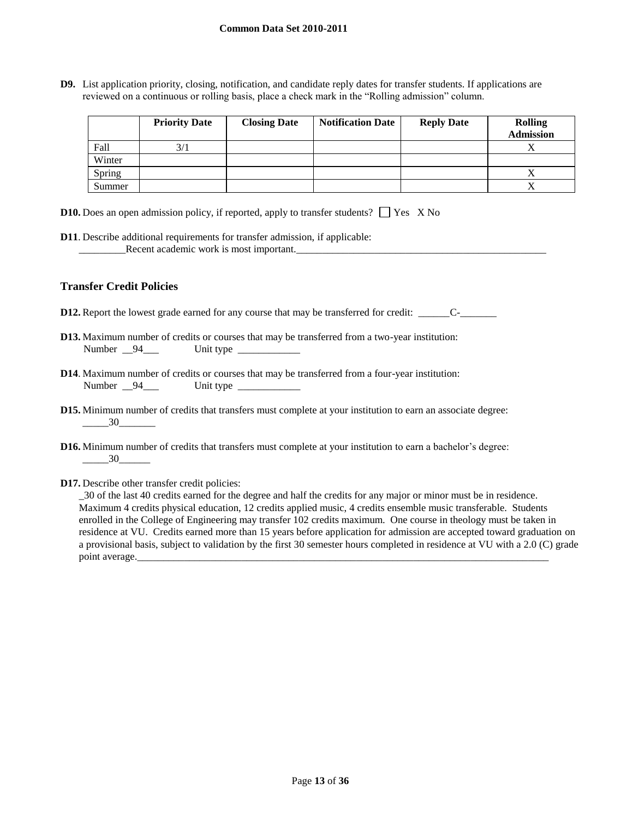**D9.** List application priority, closing, notification, and candidate reply dates for transfer students. If applications are reviewed on a continuous or rolling basis, place a check mark in the "Rolling admission" column.

|        | <b>Priority Date</b> | <b>Closing Date</b> | <b>Notification Date</b> | <b>Reply Date</b> | <b>Rolling</b><br><b>Admission</b> |
|--------|----------------------|---------------------|--------------------------|-------------------|------------------------------------|
| Fall   | 3/1                  |                     |                          |                   |                                    |
| Winter |                      |                     |                          |                   |                                    |
| Spring |                      |                     |                          |                   |                                    |
| Summer |                      |                     |                          |                   |                                    |

|  |  | <b>D10.</b> Does an open admission policy, if reported, apply to transfer students? $\Box$ Yes X No |  |
|--|--|-----------------------------------------------------------------------------------------------------|--|
|  |  |                                                                                                     |  |

**D11**. Describe additional requirements for transfer admission, if applicable: \_\_\_\_\_\_\_\_\_Recent academic work is most important.\_\_\_\_\_\_\_\_\_\_\_\_\_\_\_\_\_\_\_\_\_\_\_\_\_\_\_\_\_\_\_\_\_\_\_\_\_\_\_\_\_\_\_\_\_\_\_\_

## **Transfer Credit Policies**

- **D12.** Report the lowest grade earned for any course that may be transferred for credit: \_\_\_\_\_\_\_\_\_\_C-\_\_\_\_\_\_\_\_\_\_
- **D13.** Maximum number of credits or courses that may be transferred from a two-year institution: Number \_94\_\_\_ Unit type \_\_\_\_\_\_\_\_\_\_\_
- **D14**. Maximum number of credits or courses that may be transferred from a four-year institution: Number \_\_94\_\_\_ Unit type \_\_\_\_\_\_\_\_\_\_\_\_
- **D15.** Minimum number of credits that transfers must complete at your institution to earn an associate degree: \_\_\_\_\_30\_\_\_\_\_\_\_
- **D16.** Minimum number of credits that transfers must complete at your institution to earn a bachelor's degree:  $\frac{30}{2}$
- **D17.** Describe other transfer credit policies:

\_30 of the last 40 credits earned for the degree and half the credits for any major or minor must be in residence. Maximum 4 credits physical education, 12 credits applied music, 4 credits ensemble music transferable. Students enrolled in the College of Engineering may transfer 102 credits maximum. One course in theology must be taken in residence at VU. Credits earned more than 15 years before application for admission are accepted toward graduation on a provisional basis, subject to validation by the first 30 semester hours completed in residence at VU with a 2.0 (C) grade point average.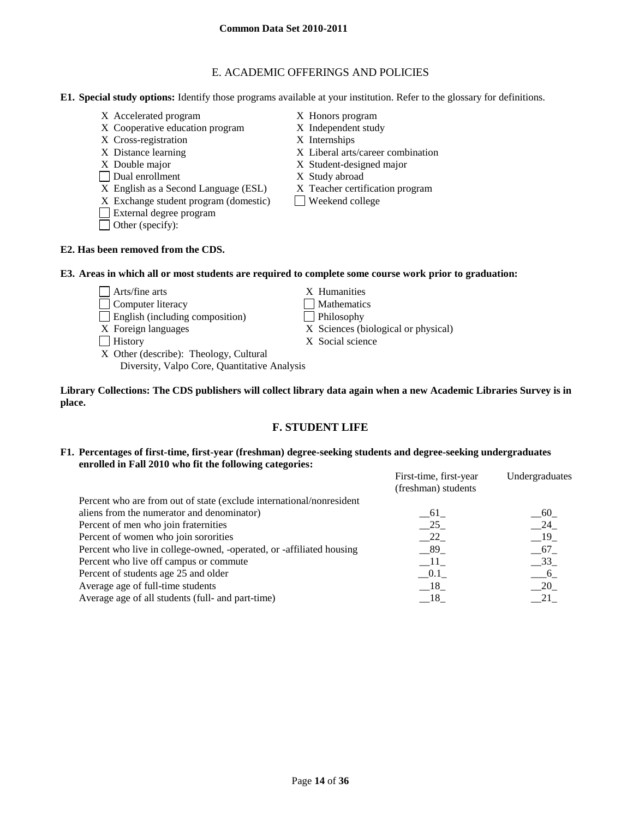# E. ACADEMIC OFFERINGS AND POLICIES

- **E1. Special study options:** Identify those programs available at your institution. Refer to the glossary for definitions.
	- X Accelerated program X Honors program
	- X Cooperative education program X Independent study
	- X Cross-registration X Internships
	-
	-
	- Dual enrollment X Study abroad
	- X English as a Second Language (ESL) X Teacher certification program
	- $X$  Exchange student program (domestic) Weekend college
	- External degree program
	- Other (specify):
- 
- 
- X Distance learning X Liberal arts/career combination
- X Double major X Student-designed major
	-
	-
	-

## **E2. Has been removed from the CDS.**

## **E3. Areas in which all or most students are required to complete some course work prior to graduation:**

- $\Box$  Arts/fine arts  $X$  Humanities
- Computer literacy Mathematics
- English (including composition) Philosophy
- 
- 
- X Other (describe): Theology, Cultural Diversity, Valpo Core, Quantitative Analysis
- 
- 
- 
- X Foreign languages X Sciences (biological or physical)
- History X Social science

**Library Collections: The CDS publishers will collect library data again when a new Academic Libraries Survey is in place.** 

# **F. STUDENT LIFE**

## **F1. Percentages of first-time, first-year (freshman) degree-seeking students and degree-seeking undergraduates enrolled in Fall 2010 who fit the following categories:**

|                                                                      | First-time, first-year | Undergraduates |
|----------------------------------------------------------------------|------------------------|----------------|
|                                                                      | (freshman) students    |                |
| Percent who are from out of state (exclude international/nonresident |                        |                |
| aliens from the numerator and denominator)                           | 61                     | 60             |
| Percent of men who join fraternities                                 | 25                     | $\_\$ 24       |
| Percent of women who join sororities                                 | $-22$                  | $-19$          |
| Percent who live in college-owned, -operated, or -affiliated housing | 89                     | $-67$          |
| Percent who live off campus or commute                               | $-11$                  | $-33$          |
| Percent of students age 25 and older                                 | 0.1                    | 6              |
| Average age of full-time students                                    | 18                     | 20             |
| Average age of all students (full- and part-time)                    | 18                     |                |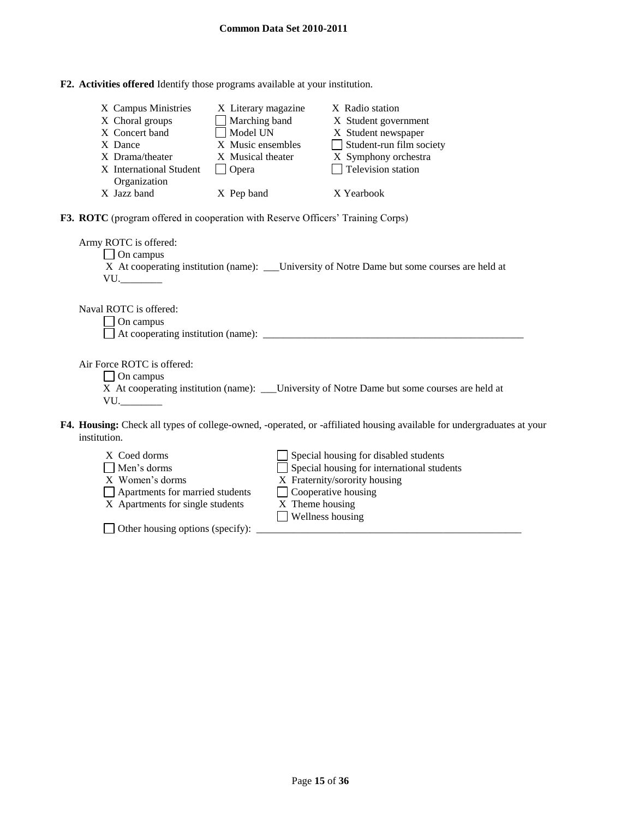| F2. Activities offered Identify those programs available at your institution. |
|-------------------------------------------------------------------------------|
|-------------------------------------------------------------------------------|

Other housing options (specify): \_\_\_\_\_\_\_\_\_\_\_\_\_\_\_\_\_\_\_\_\_\_\_\_\_\_\_\_\_\_\_\_\_\_\_\_\_\_\_\_\_\_\_\_\_\_\_\_\_\_\_

| X Campus Ministries<br>X Choral groups<br>X Concert band<br>X Dance<br>X Drama/theater<br>X International Student<br>Organization                      | X Literary magazine<br>Marching band<br>$\Box$ Model UN<br>X Music ensembles<br>X Musical theater<br>$\Box$ Opera | X Radio station<br>X Student government<br>X Student newspaper<br>Student-run film society<br>$\mathbf{1}$<br>X Symphony orchestra<br>$\Box$ Television station                      |  |  |  |  |
|--------------------------------------------------------------------------------------------------------------------------------------------------------|-------------------------------------------------------------------------------------------------------------------|--------------------------------------------------------------------------------------------------------------------------------------------------------------------------------------|--|--|--|--|
| X Jazz band                                                                                                                                            | X Pep band                                                                                                        | X Yearbook                                                                                                                                                                           |  |  |  |  |
| F3. ROTC (program offered in cooperation with Reserve Officers' Training Corps)                                                                        |                                                                                                                   |                                                                                                                                                                                      |  |  |  |  |
| Army ROTC is offered:<br>$\Box$ On campus<br>X At cooperating institution (name): _____University of Notre Dame but some courses are held at<br>$VU$ . |                                                                                                                   |                                                                                                                                                                                      |  |  |  |  |
| Naval ROTC is offered:<br>On campus                                                                                                                    |                                                                                                                   |                                                                                                                                                                                      |  |  |  |  |
| Air Force ROTC is offered:<br>$\Box$ On campus<br>$VU$ .                                                                                               |                                                                                                                   | X At cooperating institution (name): ___ University of Notre Dame but some courses are held at                                                                                       |  |  |  |  |
| institution.                                                                                                                                           |                                                                                                                   | F4. Housing: Check all types of college-owned, -operated, or -affiliated housing available for undergraduates at your                                                                |  |  |  |  |
| X Coed dorms<br>Men's dorms<br>X Women's dorms<br>Apartments for married students<br>X Apartments for single students                                  | X Theme housing                                                                                                   | Special housing for disabled students<br>$\Box$ Special housing for international students<br>X Fraternity/sorority housing<br>$\Box$ Cooperative housing<br>$\Box$ Wellness housing |  |  |  |  |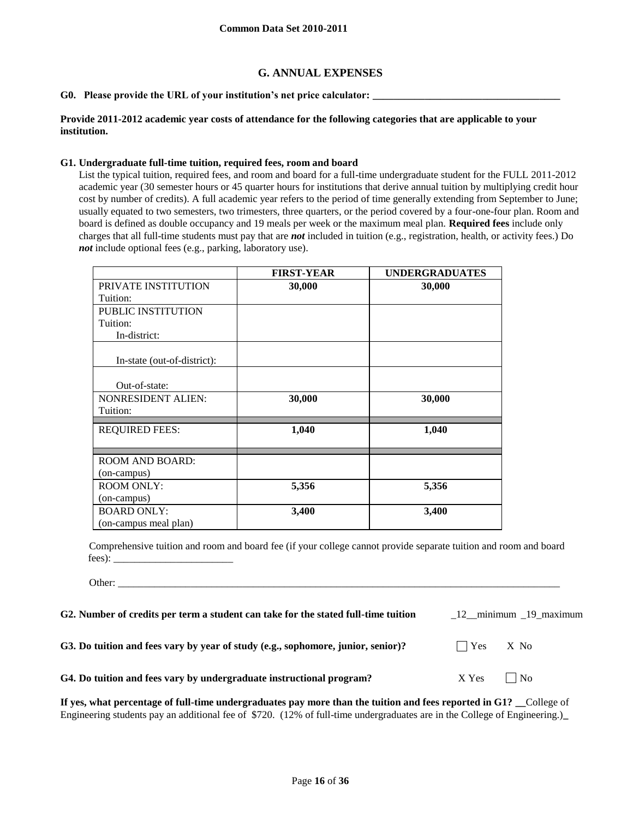## **G. ANNUAL EXPENSES**

#### G0. Please provide the URL of your institution's net price calculator:

## **Provide 2011-2012 academic year costs of attendance for the following categories that are applicable to your institution.**

#### **G1. Undergraduate full-time tuition, required fees, room and board**

Other:

List the typical tuition, required fees, and room and board for a full-time undergraduate student for the FULL 2011-2012 academic year (30 semester hours or 45 quarter hours for institutions that derive annual tuition by multiplying credit hour cost by number of credits). A full academic year refers to the period of time generally extending from September to June; usually equated to two semesters, two trimesters, three quarters, or the period covered by a four-one-four plan. Room and board is defined as double occupancy and 19 meals per week or the maximum meal plan. **Required fees** include only charges that all full-time students must pay that are *not* included in tuition (e.g., registration, health, or activity fees.) Do *not* include optional fees (e.g., parking, laboratory use).

|                             | <b>FIRST-YEAR</b> | <b>UNDERGRADUATES</b> |
|-----------------------------|-------------------|-----------------------|
| PRIVATE INSTITUTION         | 30,000            | 30,000                |
| Tuition:                    |                   |                       |
| PUBLIC INSTITUTION          |                   |                       |
| Tuition:                    |                   |                       |
| In-district:                |                   |                       |
| In-state (out-of-district): |                   |                       |
|                             |                   |                       |
| Out-of-state:               |                   |                       |
| <b>NONRESIDENT ALIEN:</b>   | 30,000            | 30,000                |
| Tuition:                    |                   |                       |
| <b>REQUIRED FEES:</b>       | 1,040             | 1,040                 |
|                             |                   |                       |
| <b>ROOM AND BOARD:</b>      |                   |                       |
| (on-campus)                 |                   |                       |
| <b>ROOM ONLY:</b>           | 5,356             | 5,356                 |
| (on-campus)                 |                   |                       |
| <b>BOARD ONLY:</b>          | 3,400             | 3,400                 |
| (on-campus meal plan)       |                   |                       |

Comprehensive tuition and room and board fee (if your college cannot provide separate tuition and room and board fees): \_\_\_\_\_\_\_\_\_\_\_\_\_\_\_\_\_\_\_\_\_\_\_

**G2. Number of credits per term a student can take for the stated full-time tuition** \_12\_\_minimum \_19\_maximum **G3.** Do tuition and fees vary by year of study (e.g., sophomore, junior, senior)? Yes X No G4. Do tuition and fees vary by undergraduate instructional program? X Yes No

**If yes, what percentage of full-time undergraduates pay more than the tuition and fees reported in G1? \_\_**College of Engineering students pay an additional fee of \$720. (12% of full-time undergraduates are in the College of Engineering.)**\_**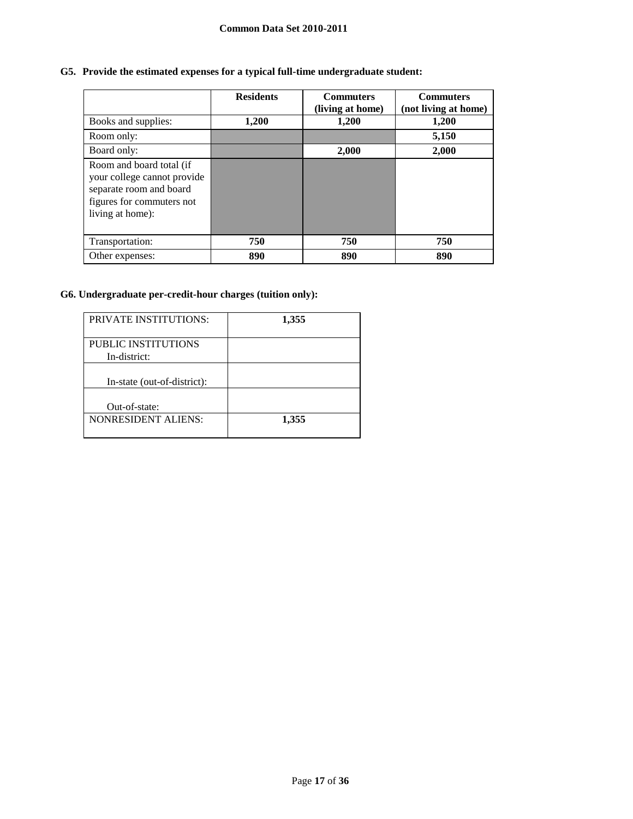# **G5. Provide the estimated expenses for a typical full-time undergraduate student:**

|                                                                                                                                     | <b>Residents</b> | <b>Commuters</b><br>(living at home) | <b>Commuters</b><br>(not living at home) |
|-------------------------------------------------------------------------------------------------------------------------------------|------------------|--------------------------------------|------------------------------------------|
| Books and supplies:                                                                                                                 | 1,200            | 1,200                                | 1,200                                    |
| Room only:                                                                                                                          |                  |                                      | 5,150                                    |
| Board only:                                                                                                                         |                  | 2,000                                | 2,000                                    |
| Room and board total (if<br>your college cannot provide<br>separate room and board<br>figures for commuters not<br>living at home): |                  |                                      |                                          |
| Transportation:                                                                                                                     | 750              | 750                                  | 750                                      |
| Other expenses:                                                                                                                     | 890              | 890                                  | 890                                      |

# **G6. Undergraduate per-credit-hour charges (tuition only):**

| <b>PRIVATE INSTITUTIONS:</b>        | 1,355 |
|-------------------------------------|-------|
| PUBLIC INSTITUTIONS<br>In-district: |       |
| In-state (out-of-district):         |       |
| Out-of-state:                       |       |
| <b>NONRESIDENT ALIENS:</b>          | 1,355 |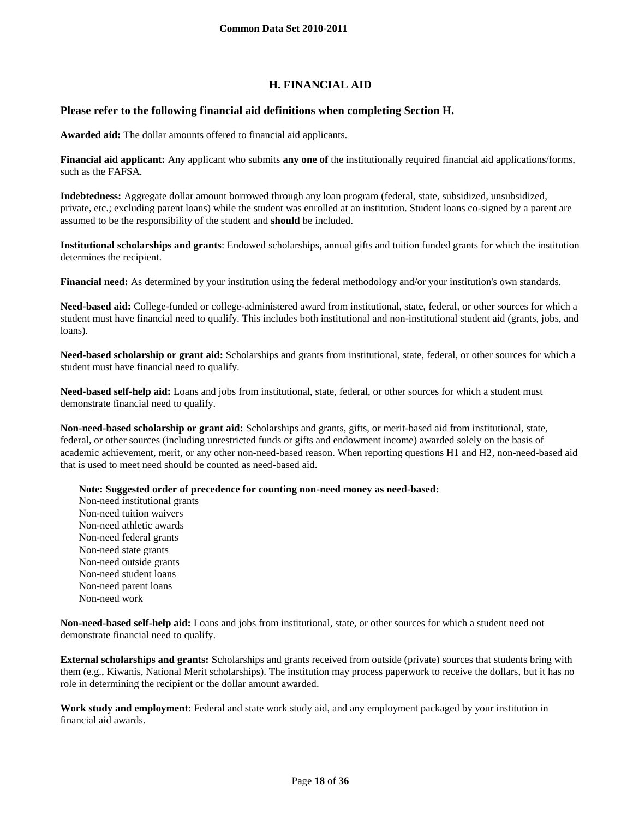# **H. FINANCIAL AID**

## **Please refer to the following financial aid definitions when completing Section H.**

**Awarded aid:** The dollar amounts offered to financial aid applicants.

**Financial aid applicant:** Any applicant who submits **any one of** the institutionally required financial aid applications/forms, such as the FAFSA.

**Indebtedness:** Aggregate dollar amount borrowed through any loan program (federal, state, subsidized, unsubsidized, private, etc.; excluding parent loans) while the student was enrolled at an institution. Student loans co-signed by a parent are assumed to be the responsibility of the student and **should** be included.

**Institutional scholarships and grants**: Endowed scholarships, annual gifts and tuition funded grants for which the institution determines the recipient.

**Financial need:** As determined by your institution using the federal methodology and/or your institution's own standards.

**Need-based aid:** College-funded or college-administered award from institutional, state, federal, or other sources for which a student must have financial need to qualify. This includes both institutional and non-institutional student aid (grants, jobs, and loans).

**Need-based scholarship or grant aid:** Scholarships and grants from institutional, state, federal, or other sources for which a student must have financial need to qualify.

**Need-based self-help aid:** Loans and jobs from institutional, state, federal, or other sources for which a student must demonstrate financial need to qualify.

**Non-need-based scholarship or grant aid:** Scholarships and grants, gifts, or merit-based aid from institutional, state, federal, or other sources (including unrestricted funds or gifts and endowment income) awarded solely on the basis of academic achievement, merit, or any other non-need-based reason. When reporting questions H1 and H2, non-need-based aid that is used to meet need should be counted as need-based aid.

**Note: Suggested order of precedence for counting non-need money as need-based:**

Non-need institutional grants Non-need tuition waivers Non-need athletic awards Non-need federal grants Non-need state grants Non-need outside grants Non-need student loans Non-need parent loans Non-need work

**Non-need-based self-help aid:** Loans and jobs from institutional, state, or other sources for which a student need not demonstrate financial need to qualify.

**External scholarships and grants:** Scholarships and grants received from outside (private) sources that students bring with them (e.g., Kiwanis, National Merit scholarships). The institution may process paperwork to receive the dollars, but it has no role in determining the recipient or the dollar amount awarded.

**Work study and employment**: Federal and state work study aid, and any employment packaged by your institution in financial aid awards.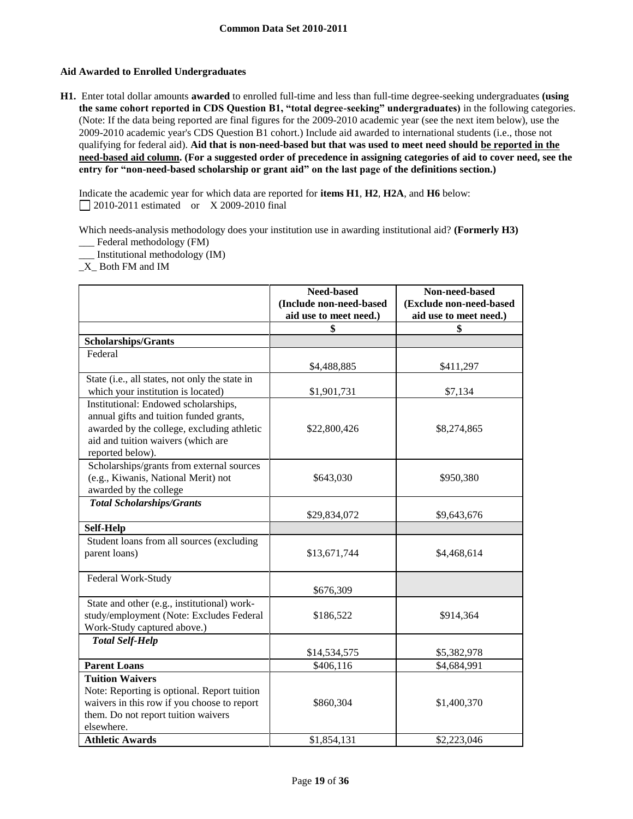## **Aid Awarded to Enrolled Undergraduates**

**H1.** Enter total dollar amounts **awarded** to enrolled full-time and less than full-time degree-seeking undergraduates **(using the same cohort reported in CDS Question B1, "total degree-seeking" undergraduates)** in the following categories. (Note: If the data being reported are final figures for the 2009-2010 academic year (see the next item below), use the 2009-2010 academic year's CDS Question B1 cohort.) Include aid awarded to international students (i.e., those not qualifying for federal aid). **Aid that is non-need-based but that was used to meet need should be reported in the need-based aid column. (For a suggested order of precedence in assigning categories of aid to cover need, see the entry for "non-need-based scholarship or grant aid" on the last page of the definitions section.)**

Indicate the academic year for which data are reported for **items H1**, **H2**, **H2A**, and **H6** below: 2010-2011 estimated or X 2009-2010 final

Which needs-analysis methodology does your institution use in awarding institutional aid? **(Formerly H3)** \_\_\_ Federal methodology (FM)

\_\_\_ Institutional methodology (IM)

\_X\_ Both FM and IM

|                                                | Need-based              | Non-need-based          |
|------------------------------------------------|-------------------------|-------------------------|
|                                                | (Include non-need-based | (Exclude non-need-based |
|                                                | aid use to meet need.)  | aid use to meet need.)  |
|                                                | \$                      | \$                      |
| <b>Scholarships/Grants</b>                     |                         |                         |
| Federal                                        |                         |                         |
|                                                | \$4,488,885             | \$411,297               |
| State (i.e., all states, not only the state in |                         |                         |
| which your institution is located)             | \$1,901,731             | \$7,134                 |
| Institutional: Endowed scholarships,           |                         |                         |
| annual gifts and tuition funded grants,        |                         |                         |
| awarded by the college, excluding athletic     | \$22,800,426            | \$8,274,865             |
| aid and tuition waivers (which are             |                         |                         |
| reported below).                               |                         |                         |
| Scholarships/grants from external sources      |                         |                         |
| (e.g., Kiwanis, National Merit) not            | \$643,030               | \$950,380               |
| awarded by the college                         |                         |                         |
| <b>Total Scholarships/Grants</b>               |                         |                         |
|                                                | \$29,834,072            | \$9,643,676             |
| <b>Self-Help</b>                               |                         |                         |
| Student loans from all sources (excluding      |                         |                         |
| parent loans)                                  | \$13,671,744            | \$4,468,614             |
|                                                |                         |                         |
| Federal Work-Study                             |                         |                         |
|                                                | \$676,309               |                         |
| State and other (e.g., institutional) work-    |                         |                         |
| study/employment (Note: Excludes Federal       | \$186,522               | \$914,364               |
| Work-Study captured above.)                    |                         |                         |
| <b>Total Self-Help</b>                         |                         |                         |
|                                                | \$14,534,575            | \$5,382,978             |
| <b>Parent Loans</b>                            | \$406,116               | \$4,684,991             |
| <b>Tuition Waivers</b>                         |                         |                         |
| Note: Reporting is optional. Report tuition    |                         |                         |
| waivers in this row if you choose to report    | \$860,304               | \$1,400,370             |
| them. Do not report tuition waivers            |                         |                         |
| elsewhere.                                     |                         |                         |
| <b>Athletic Awards</b>                         | \$1,854,131             | \$2,223,046             |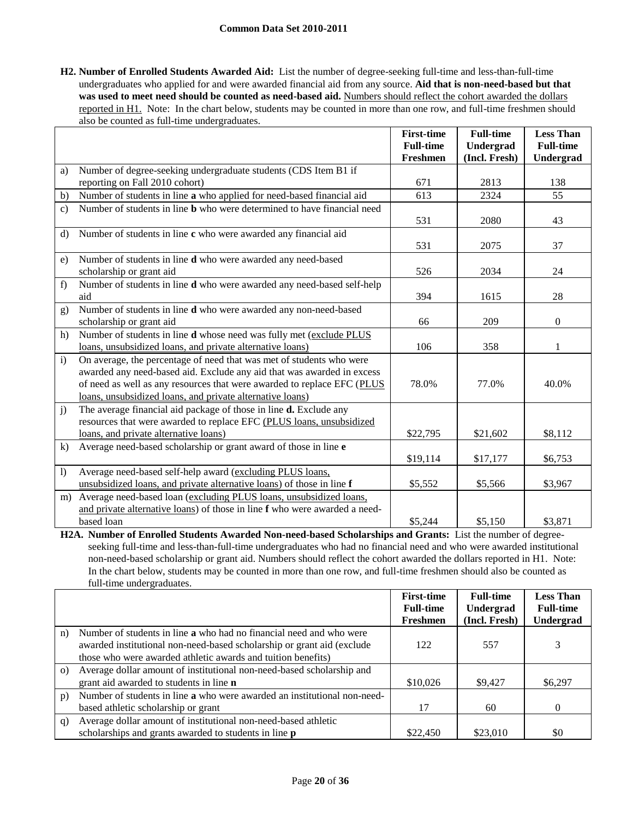## **Common Data Set 2010-2011**

**H2. Number of Enrolled Students Awarded Aid:** List the number of degree-seeking full-time and less-than-full-time undergraduates who applied for and were awarded financial aid from any source. **Aid that is non-need-based but that**  was used to meet need should be counted as need-based aid. Numbers should reflect the cohort awarded the dollars reported in H1. Note: In the chart below, students may be counted in more than one row, and full-time freshmen should also be counted as full-time undergraduates.

|                  |                                                                                | <b>First-time</b> | <b>Full-time</b> | <b>Less Than</b> |
|------------------|--------------------------------------------------------------------------------|-------------------|------------------|------------------|
|                  |                                                                                | <b>Full-time</b>  | Undergrad        | <b>Full-time</b> |
|                  |                                                                                | Freshmen          | (Incl. Fresh)    | Undergrad        |
| a)               | Number of degree-seeking undergraduate students (CDS Item B1 if                |                   |                  |                  |
|                  | reporting on Fall 2010 cohort)                                                 | 671               | 2813             | 138              |
| b)               | Number of students in line a who applied for need-based financial aid          | 613               | 2324             | 55               |
| $\mathbf{c})$    | Number of students in line <b>b</b> who were determined to have financial need | 531               | 2080             | 43               |
| $\rm d$          | Number of students in line c who were awarded any financial aid                |                   |                  |                  |
|                  |                                                                                | 531               | 2075             | 37               |
| e)               | Number of students in line d who were awarded any need-based                   |                   |                  |                  |
|                  | scholarship or grant aid                                                       | 526               | 2034             | 24               |
| f                | Number of students in line d who were awarded any need-based self-help<br>aid  | 394               | 1615             | 28               |
| g)               | Number of students in line d who were awarded any non-need-based               |                   |                  |                  |
|                  | scholarship or grant aid                                                       | 66                | 209              | $\boldsymbol{0}$ |
| h)               | Number of students in line d whose need was fully met (exclude PLUS            |                   |                  |                  |
|                  | loans, unsubsidized loans, and private alternative loans)                      | 106               | 358              | 1                |
| $\mathbf{i}$     | On average, the percentage of need that was met of students who were           |                   |                  |                  |
|                  | awarded any need-based aid. Exclude any aid that was awarded in excess         |                   |                  |                  |
|                  | of need as well as any resources that were awarded to replace EFC (PLUS        | 78.0%             | 77.0%            | 40.0%            |
|                  | loans, unsubsidized loans, and private alternative loans)                      |                   |                  |                  |
| j)               | The average financial aid package of those in line <b>d.</b> Exclude any       |                   |                  |                  |
|                  | resources that were awarded to replace EFC (PLUS loans, unsubsidized           |                   |                  |                  |
|                  | loans, and private alternative loans)                                          | \$22,795          | \$21,602         | \$8,112          |
| $\bf k$          | Average need-based scholarship or grant award of those in line e               |                   |                  |                  |
|                  |                                                                                | \$19,114          | \$17,177         | \$6,753          |
| $\left  \right $ | Average need-based self-help award (excluding PLUS loans,                      |                   |                  |                  |
|                  | unsubsidized loans, and private alternative loans) of those in line f          | \$5,552           | \$5,566          | \$3,967          |
| m)               | Average need-based loan (excluding PLUS loans, unsubsidized loans,             |                   |                  |                  |
|                  | and private alternative loans) of those in line f who were awarded a need-     |                   |                  |                  |
|                  | based loan                                                                     | \$5,244           | \$5,150          | \$3,871          |

**H2A. Number of Enrolled Students Awarded Non-need-based Scholarships and Grants:** List the number of degreeseeking full-time and less-than-full-time undergraduates who had no financial need and who were awarded institutional non-need-based scholarship or grant aid. Numbers should reflect the cohort awarded the dollars reported in H1. Note: In the chart below, students may be counted in more than one row, and full-time freshmen should also be counted as full-time undergraduates.

|          |                                                                            | <b>First-time</b><br><b>Full-time</b> | <b>Full-time</b><br>Undergrad | <b>Less Than</b><br><b>Full-time</b> |
|----------|----------------------------------------------------------------------------|---------------------------------------|-------------------------------|--------------------------------------|
|          |                                                                            | Freshmen                              | (Incl. Fresh)                 | <b>Undergrad</b>                     |
| n)       | Number of students in line <b>a</b> who had no financial need and who were |                                       |                               |                                      |
|          | awarded institutional non-need-based scholarship or grant aid (exclude     | 122                                   | 557                           | 3                                    |
|          | those who were awarded athletic awards and tuition benefits)               |                                       |                               |                                      |
| $\Omega$ | Average dollar amount of institutional non-need-based scholarship and      |                                       |                               |                                      |
|          | grant aid awarded to students in line <b>n</b>                             | \$10,026                              | \$9,427                       | \$6,297                              |
| p)       | Number of students in line a who were awarded an institutional non-need-   |                                       |                               |                                      |
|          | based athletic scholarship or grant                                        | 17                                    | 60                            | $\Omega$                             |
| q)       | Average dollar amount of institutional non-need-based athletic             |                                       |                               |                                      |
|          | scholarships and grants awarded to students in line <b>p</b>               | \$22,450                              | \$23,010                      | \$0                                  |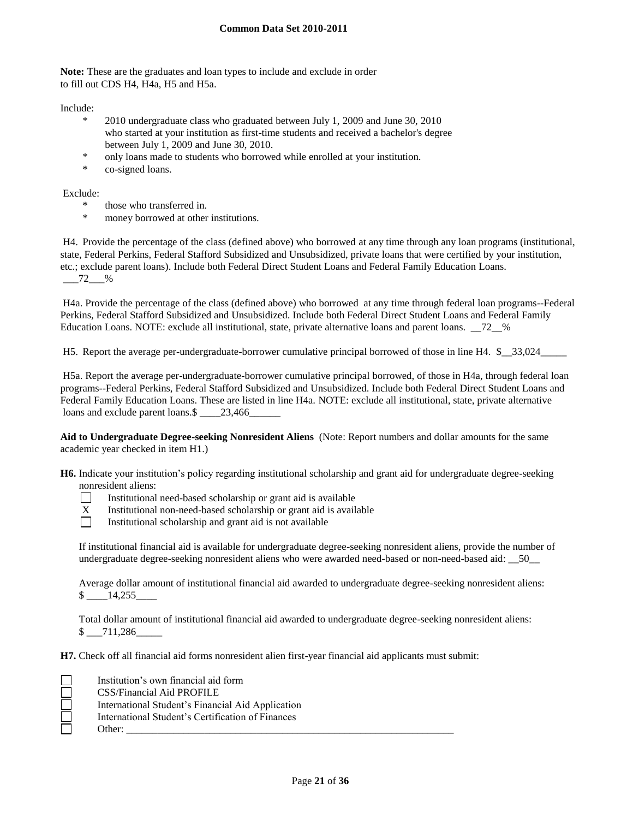**Note:** These are the graduates and loan types to include and exclude in order to fill out CDS H4, H4a, H5 and H5a.

Include:

- \* 2010 undergraduate class who graduated between July 1, 2009 and June 30, 2010 who started at your institution as first-time students and received a bachelor's degree between July 1, 2009 and June 30, 2010.
- only loans made to students who borrowed while enrolled at your institution.
- \* co-signed loans.

Exclude:

- \* those who transferred in.
- money borrowed at other institutions.

H4. Provide the percentage of the class (defined above) who borrowed at any time through any loan programs (institutional, state, Federal Perkins, Federal Stafford Subsidized and Unsubsidized, private loans that were certified by your institution, etc.; exclude parent loans). Include both Federal Direct Student Loans and Federal Family Education Loans.  $-72$  %

H4a. Provide the percentage of the class (defined above) who borrowed at any time through federal loan programs--Federal Perkins, Federal Stafford Subsidized and Unsubsidized. Include both Federal Direct Student Loans and Federal Family Education Loans. NOTE: exclude all institutional, state, private alternative loans and parent loans. \_\_72\_\_%

H5. Report the average per-undergraduate-borrower cumulative principal borrowed of those in line H4. \$\_\_33,024\_\_\_\_\_

H5a. Report the average per-undergraduate-borrower cumulative principal borrowed, of those in H4a, through federal loan programs--Federal Perkins, Federal Stafford Subsidized and Unsubsidized. Include both Federal Direct Student Loans and Federal Family Education Loans. These are listed in line H4a. NOTE: exclude all institutional, state, private alternative loans and exclude parent loans. \$ 23,466

**Aid to Undergraduate Degree-seeking Nonresident Aliens** (Note: Report numbers and dollar amounts for the same academic year checked in item H1.)

**H6.** Indicate your institution's policy regarding institutional scholarship and grant aid for undergraduate degree-seeking nonresident aliens:

- $\Box$ Institutional need-based scholarship or grant aid is available
- $X$  Institutional non-need-based scholarship or grant aid is available<br>
Institutional scholarship and grant aid is not available
	- Institutional scholarship and grant aid is not available

If institutional financial aid is available for undergraduate degree-seeking nonresident aliens, provide the number of undergraduate degree-seeking nonresident aliens who were awarded need-based or non-need-based aid: \_\_50\_\_

Average dollar amount of institutional financial aid awarded to undergraduate degree-seeking nonresident aliens: \$ \_\_\_\_14,255\_\_\_\_

Total dollar amount of institutional financial aid awarded to undergraduate degree-seeking nonresident aliens:  $$ -711,286$ 

**H7.** Check off all financial aid forms nonresident alien first-year financial aid applicants must submit:

| Institution's own financial aid form              |
|---------------------------------------------------|
| CSS/Financial Aid PROFILE                         |
| International Student's Financial Aid Application |
| International Student's Certification of Finances |
| Other:                                            |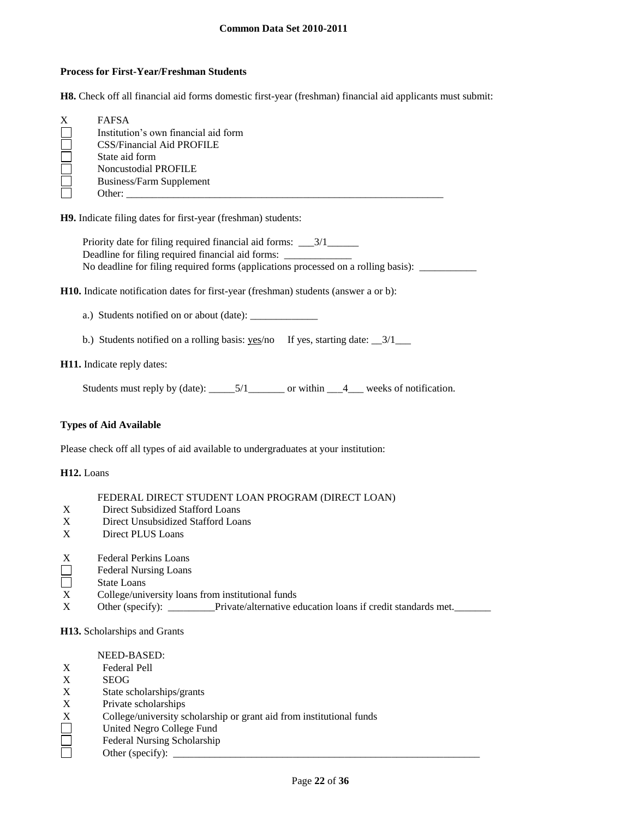## **Process for First-Year/Freshman Students**

**H8.** Check off all financial aid forms domestic first-year (freshman) financial aid applicants must submit:

| X | <b>FAFSA</b>                         |
|---|--------------------------------------|
|   | Institution's own financial aid form |
|   | <b>CSS/Financial Aid PROFILE</b>     |
|   | State aid form                       |
|   | Noncustodial PROFILE                 |
|   | <b>Business/Farm Supplement</b>      |
|   | Other:                               |

**H9.** Indicate filing dates for first-year (freshman) students:

Priority date for filing required financial aid forms: \_\_\_3/1\_\_\_\_\_\_ Deadline for filing required financial aid forms: \_\_\_\_\_\_\_\_\_\_\_\_\_\_\_\_\_\_\_\_\_\_\_\_\_\_\_\_\_\_\_ No deadline for filing required forms (applications processed on a rolling basis): \_\_\_\_\_\_\_\_\_\_\_\_\_\_\_\_

**H10.** Indicate notification dates for first-year (freshman) students (answer a or b):

a.) Students notified on or about (date): \_\_\_\_\_\_\_\_\_\_\_\_\_

b.) Students notified on a rolling basis: yes/no If yes, starting date: \_\_3/1\_\_\_

#### **H11.** Indicate reply dates:

Students must reply by (date): \_\_\_\_\_5/1\_\_\_\_\_\_\_ or within \_\_\_4\_\_\_ weeks of notification.

## **Types of Aid Available**

Please check off all types of aid available to undergraduates at your institution:

## **H12.** Loans

## FEDERAL DIRECT STUDENT LOAN PROGRAM (DIRECT LOAN)

- X Direct Subsidized Stafford Loans
- X Direct Unsubsidized Stafford Loans
- X Direct PLUS Loans
- $X$  Federal Perkins Loans<br>
Federal Nursing Loans
- Federal Nursing Loans
- $\Box$ State Loans
- X College/university loans from institutional funds
- X Other (specify): \_\_\_\_\_\_\_Private/alternative education loans if credit standards met.

#### **H13.** Scholarships and Grants

#### NEED-BASED:

- X Federal Pell
- X SEOG
- X State scholarships/grants<br>X Private scholarships
- X Private scholarships<br>X College/university scholarships<br>United Negro College
- College/university scholarship or grant aid from institutional funds
- United Negro College Fund
- Federal Nursing Scholarship
	- Other (specify):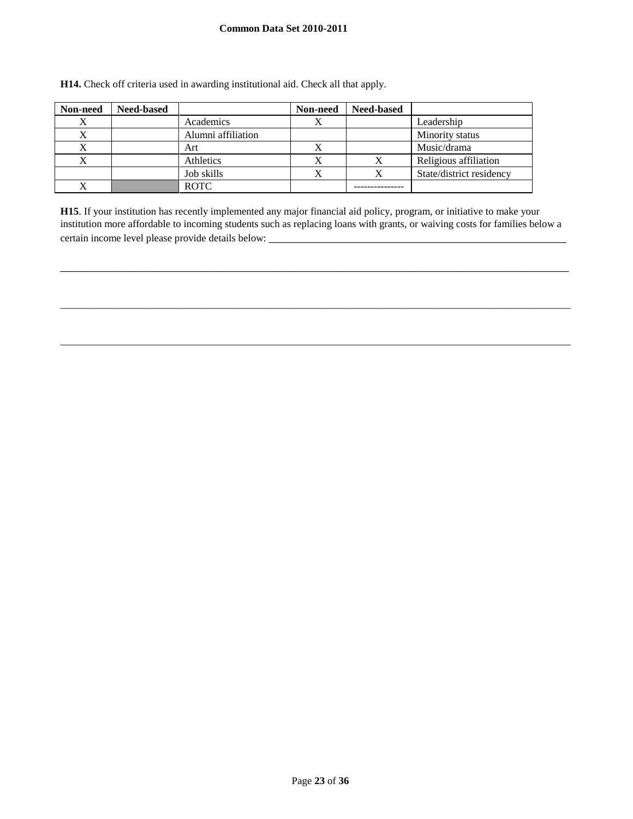## **Common Data Set 2010-2011**

| Non-need | <b>Need-based</b> |                    | Non-need | <b>Need-based</b> |                          |
|----------|-------------------|--------------------|----------|-------------------|--------------------------|
|          |                   | Academics          |          |                   | Leadership               |
|          |                   | Alumni affiliation |          |                   | Minority status          |
|          |                   | Art                |          |                   | Music/drama              |
|          |                   | Athletics          |          |                   | Religious affiliation    |
|          |                   | Job skills         |          | х                 | State/district residency |
|          |                   | <b>ROTC</b>        |          |                   |                          |

**H14.** Check off criteria used in awarding institutional aid. Check all that apply.

**H15**. If your institution has recently implemented any major financial aid policy, program, or initiative to make your institution more affordable to incoming students such as replacing loans with grants, or waiving costs for families below a certain income level please provide details below: \_\_\_\_\_\_\_\_\_\_\_\_\_\_\_\_\_\_\_\_\_\_\_\_\_\_\_\_\_

\_\_\_\_\_\_\_\_\_\_\_\_\_\_\_\_\_\_\_\_\_\_\_\_\_\_\_\_\_\_\_\_\_\_\_\_\_\_\_\_\_\_\_\_\_\_\_\_\_\_\_\_\_\_\_\_\_\_\_\_\_\_\_\_\_\_\_\_\_\_\_\_\_\_\_\_\_\_\_\_\_\_

\_\_\_\_\_\_\_\_\_\_\_\_\_\_\_\_\_\_\_\_\_\_\_\_\_\_\_\_\_\_\_\_\_\_\_\_\_\_\_\_\_\_\_\_\_\_\_\_\_\_\_\_\_\_\_\_\_\_\_\_\_\_\_\_\_\_\_\_\_\_\_\_\_\_\_\_\_\_\_\_\_\_\_\_\_\_\_\_\_\_\_\_\_\_\_\_\_\_

\_\_\_\_\_\_\_\_\_\_\_\_\_\_\_\_\_\_\_\_\_\_\_\_\_\_\_\_\_\_\_\_\_\_\_\_\_\_\_\_\_\_\_\_\_\_\_\_\_\_\_\_\_\_\_\_\_\_\_\_\_\_\_\_\_\_\_\_\_\_\_\_\_\_\_\_\_\_\_\_\_\_\_\_\_\_\_\_\_\_\_\_\_\_\_\_\_\_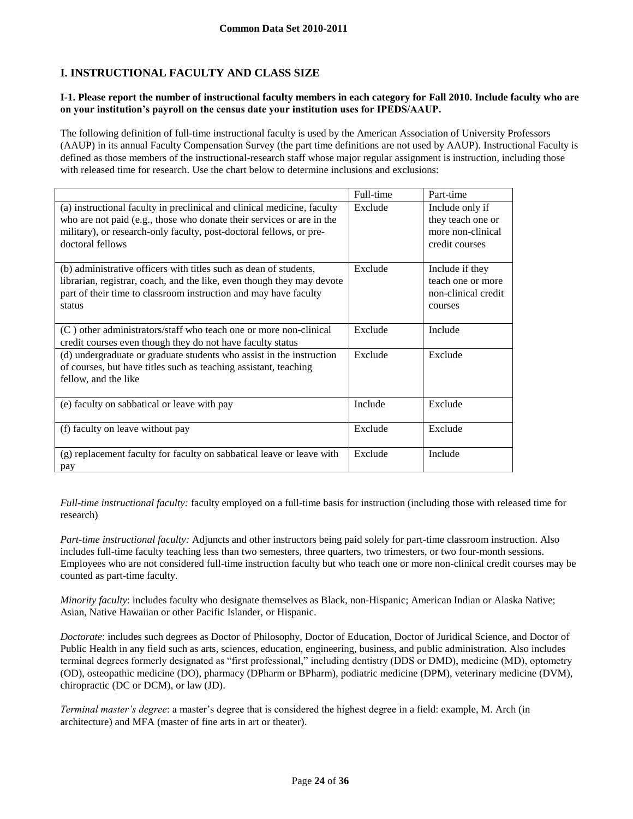# **I. INSTRUCTIONAL FACULTY AND CLASS SIZE**

### **I-1. Please report the number of instructional faculty members in each category for Fall 2010. Include faculty who are on your institution's payroll on the census date your institution uses for IPEDS/AAUP.**

The following definition of full-time instructional faculty is used by the American Association of University Professors (AAUP) in its annual Faculty Compensation Survey (the part time definitions are not used by AAUP). Instructional Faculty is defined as those members of the instructional-research staff whose major regular assignment is instruction, including those with released time for research. Use the chart below to determine inclusions and exclusions:

|                                                                                                                                                                                                                                             | Full-time | Part-time                                                                   |
|---------------------------------------------------------------------------------------------------------------------------------------------------------------------------------------------------------------------------------------------|-----------|-----------------------------------------------------------------------------|
| (a) instructional faculty in preclinical and clinical medicine, faculty<br>who are not paid (e.g., those who donate their services or are in the<br>military), or research-only faculty, post-doctoral fellows, or pre-<br>doctoral fellows | Exclude   | Include only if<br>they teach one or<br>more non-clinical<br>credit courses |
| (b) administrative officers with titles such as dean of students,<br>librarian, registrar, coach, and the like, even though they may devote<br>part of their time to classroom instruction and may have faculty<br>status                   | Exclude   | Include if they<br>teach one or more<br>non-clinical credit<br>courses      |
| (C) other administrators/staff who teach one or more non-clinical<br>credit courses even though they do not have faculty status                                                                                                             | Exclude   | Include                                                                     |
| (d) undergraduate or graduate students who assist in the instruction<br>of courses, but have titles such as teaching assistant, teaching<br>fellow, and the like                                                                            | Exclude   | Exclude                                                                     |
| (e) faculty on sabbatical or leave with pay                                                                                                                                                                                                 | Include   | Exclude                                                                     |
| (f) faculty on leave without pay                                                                                                                                                                                                            | Exclude   | Exclude                                                                     |
| (g) replacement faculty for faculty on sabbatical leave or leave with<br>pay                                                                                                                                                                | Exclude   | Include                                                                     |

*Full-time instructional faculty:* faculty employed on a full-time basis for instruction (including those with released time for research)

*Part-time instructional faculty:* Adjuncts and other instructors being paid solely for part-time classroom instruction. Also includes full-time faculty teaching less than two semesters, three quarters, two trimesters, or two four-month sessions. Employees who are not considered full-time instruction faculty but who teach one or more non-clinical credit courses may be counted as part-time faculty.

*Minority faculty*: includes faculty who designate themselves as Black, non-Hispanic; American Indian or Alaska Native; Asian, Native Hawaiian or other Pacific Islander, or Hispanic.

*Doctorate*: includes such degrees as Doctor of Philosophy, Doctor of Education, Doctor of Juridical Science, and Doctor of Public Health in any field such as arts, sciences, education, engineering, business, and public administration. Also includes terminal degrees formerly designated as "first professional," including dentistry (DDS or DMD), medicine (MD), optometry (OD), osteopathic medicine (DO), pharmacy (DPharm or BPharm), podiatric medicine (DPM), veterinary medicine (DVM), chiropractic (DC or DCM), or law (JD).

*Terminal master's degree*: a master's degree that is considered the highest degree in a field: example, M. Arch (in architecture) and MFA (master of fine arts in art or theater).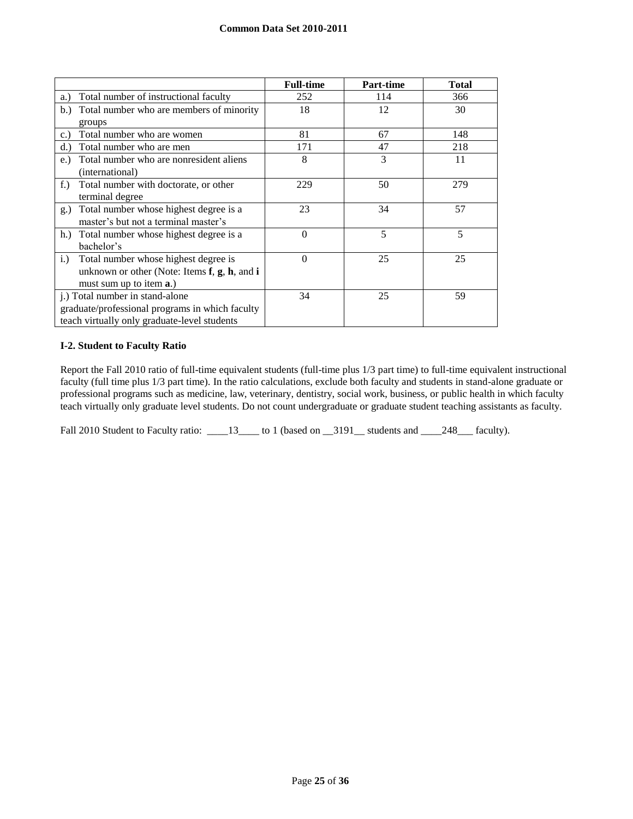|                                                         | <b>Full-time</b> | Part-time | <b>Total</b> |
|---------------------------------------------------------|------------------|-----------|--------------|
| Total number of instructional faculty<br>a.)            | 252              | 114       | 366          |
| Total number who are members of minority<br>b.)         | 18               | 12        | 30           |
| groups                                                  |                  |           |              |
| Total number who are women<br>c.                        | 81               | 67        | 148          |
| Total number who are men<br>d.                          | 171              | 47        | 218          |
| Total number who are nonresident aliens<br>$e$ .        | 8                | 3         | 11           |
| (international)                                         |                  |           |              |
| Total number with doctorate, or other<br>$f_{\cdot}$ )  | 229              | 50        | 279          |
| terminal degree                                         |                  |           |              |
| Total number whose highest degree is a<br>g.)           | 23               | 34        | 57           |
| master's but not a terminal master's                    |                  |           |              |
| Total number whose highest degree is a<br>h.            | $\theta$         | 5         | 5            |
| bachelor's                                              |                  |           |              |
| Total number whose highest degree is<br>$i$ .           | $\theta$         | 25        | 25           |
| unknown or other (Note: Items $f$ , $g$ , $h$ , and $i$ |                  |           |              |
| must sum up to item <b>a</b> .)                         |                  |           |              |
| j.) Total number in stand-alone                         | 34               | 25        | 59           |
| graduate/professional programs in which faculty         |                  |           |              |
| teach virtually only graduate-level students            |                  |           |              |

## **I-2. Student to Faculty Ratio**

Report the Fall 2010 ratio of full-time equivalent students (full-time plus 1/3 part time) to full-time equivalent instructional faculty (full time plus 1/3 part time). In the ratio calculations, exclude both faculty and students in stand-alone graduate or professional programs such as medicine, law, veterinary, dentistry, social work, business, or public health in which faculty teach virtually only graduate level students. Do not count undergraduate or graduate student teaching assistants as faculty.

Fall 2010 Student to Faculty ratio: \_\_\_\_13\_\_\_\_ to 1 (based on \_\_3191\_\_ students and \_\_\_\_248\_\_\_ faculty).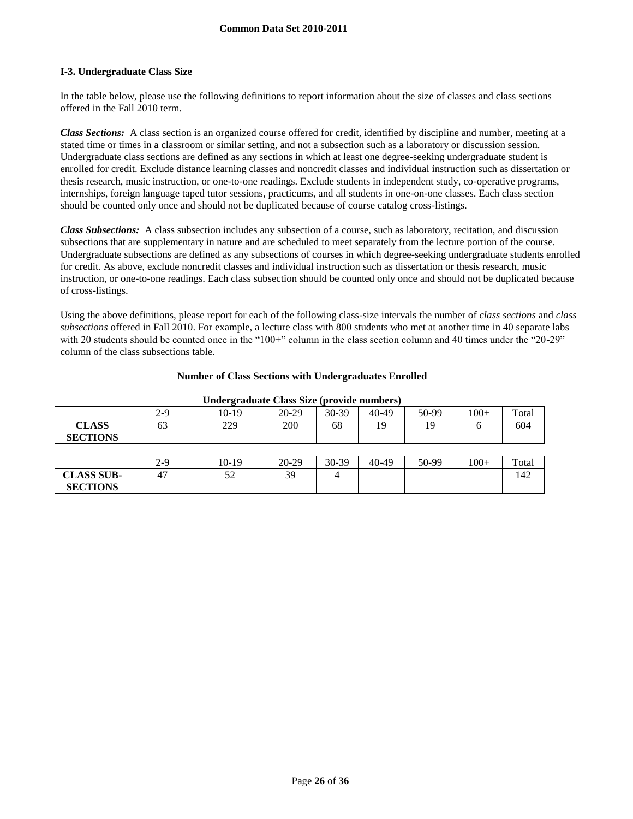## **I-3. Undergraduate Class Size**

**SECTIONS**

In the table below, please use the following definitions to report information about the size of classes and class sections offered in the Fall 2010 term.

*Class Sections:* A class section is an organized course offered for credit, identified by discipline and number, meeting at a stated time or times in a classroom or similar setting, and not a subsection such as a laboratory or discussion session. Undergraduate class sections are defined as any sections in which at least one degree-seeking undergraduate student is enrolled for credit. Exclude distance learning classes and noncredit classes and individual instruction such as dissertation or thesis research, music instruction, or one-to-one readings. Exclude students in independent study, co-operative programs, internships, foreign language taped tutor sessions, practicums, and all students in one-on-one classes. Each class section should be counted only once and should not be duplicated because of course catalog cross-listings.

*Class Subsections:* A class subsection includes any subsection of a course, such as laboratory, recitation, and discussion subsections that are supplementary in nature and are scheduled to meet separately from the lecture portion of the course. Undergraduate subsections are defined as any subsections of courses in which degree-seeking undergraduate students enrolled for credit. As above, exclude noncredit classes and individual instruction such as dissertation or thesis research, music instruction, or one-to-one readings. Each class subsection should be counted only once and should not be duplicated because of cross-listings.

Using the above definitions, please report for each of the following class-size intervals the number of *class sections* and *class subsections* offered in Fall 2010. For example, a lecture class with 800 students who met at another time in 40 separate labs with 20 students should be counted once in the "100+" column in the class section column and 40 times under the "20-29" column of the class subsections table.

## **Number of Class Sections with Undergraduates Enrolled**

| Chael Pragnatic Chapp Dine (browned Hampbers) |       |       |         |       |       |       |        |       |
|-----------------------------------------------|-------|-------|---------|-------|-------|-------|--------|-------|
|                                               | 2-9   | 10-19 | $20-29$ | 30-39 | 40-49 | 50-99 | $100+$ | Total |
| <b>CLASS</b><br><b>SECTIONS</b>               | 63    | 229   | 200     | 68    | 19    | 19    |        | 604   |
|                                               |       |       |         |       |       |       |        |       |
|                                               | $2-9$ | 10-19 | $20-29$ | 30-39 | 40-49 | 50-99 | $100+$ | Total |
| <b>CLASS SUB-</b>                             | 47    | 52    | 39      |       |       |       |        | 142   |

#### **Undergraduate Class Size (provide numbers)**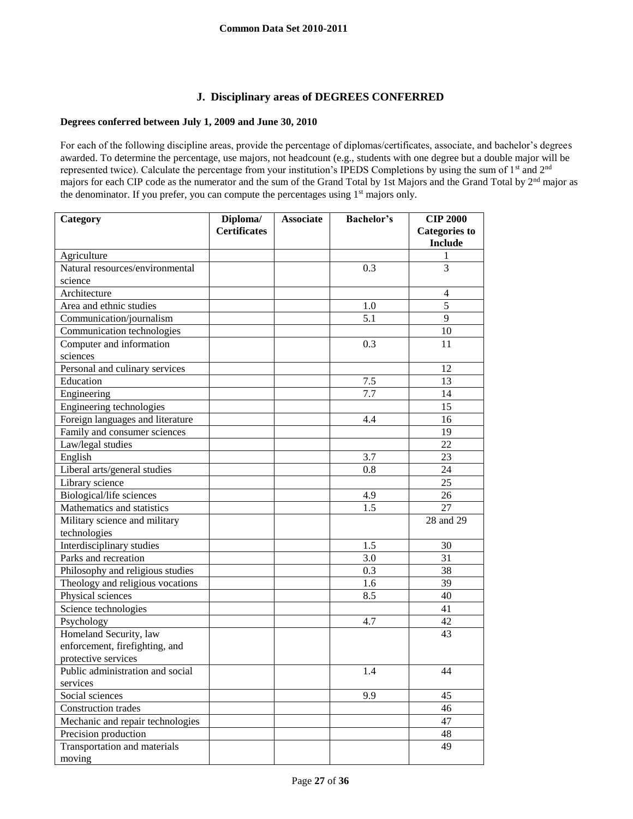# **J. Disciplinary areas of DEGREES CONFERRED**

## **Degrees conferred between July 1, 2009 and June 30, 2010**

For each of the following discipline areas, provide the percentage of diplomas/certificates, associate, and bachelor's degrees awarded. To determine the percentage, use majors, not headcount (e.g., students with one degree but a double major will be represented twice). Calculate the percentage from your institution's IPEDS Completions by using the sum of 1<sup>st</sup> and 2<sup>nd</sup> majors for each CIP code as the numerator and the sum of the Grand Total by 1st Majors and the Grand Total by 2nd major as the denominator. If you prefer, you can compute the percentages using 1<sup>st</sup> majors only.

| Category                         | Diploma/            | <b>Associate</b> | <b>Bachelor's</b> | <b>CIP 2000</b>      |
|----------------------------------|---------------------|------------------|-------------------|----------------------|
|                                  | <b>Certificates</b> |                  |                   | <b>Categories to</b> |
|                                  |                     |                  |                   | <b>Include</b>       |
| Agriculture                      |                     |                  |                   | 1                    |
| Natural resources/environmental  |                     |                  | 0.3               | 3                    |
| science                          |                     |                  |                   |                      |
| Architecture                     |                     |                  |                   | $\overline{4}$       |
| Area and ethnic studies          |                     |                  | 1.0               | 5                    |
| Communication/journalism         |                     |                  | 5.1               | 9                    |
| Communication technologies       |                     |                  |                   | 10                   |
| Computer and information         |                     |                  | 0.3               | 11                   |
| sciences                         |                     |                  |                   |                      |
| Personal and culinary services   |                     |                  |                   | 12                   |
| Education                        |                     |                  | 7.5               | 13                   |
| Engineering                      |                     |                  | 7.7               | 14                   |
| Engineering technologies         |                     |                  |                   | 15                   |
| Foreign languages and literature |                     |                  | 4.4               | 16                   |
| Family and consumer sciences     |                     |                  |                   | 19                   |
| Law/legal studies                |                     |                  |                   | 22                   |
| English                          |                     |                  | 3.7               | 23                   |
| Liberal arts/general studies     |                     |                  | 0.8               | 24                   |
| Library science                  |                     |                  |                   | 25                   |
| Biological/life sciences         |                     |                  | 4.9               | 26                   |
| Mathematics and statistics       |                     |                  | 1.5               | 27                   |
| Military science and military    |                     |                  |                   | 28 and 29            |
| technologies                     |                     |                  |                   |                      |
| Interdisciplinary studies        |                     |                  | 1.5               | 30                   |
| Parks and recreation             |                     |                  | 3.0               | 31                   |
| Philosophy and religious studies |                     |                  | 0.3               | 38                   |
| Theology and religious vocations |                     |                  | 1.6               | 39                   |
| Physical sciences                |                     |                  | 8.5               | 40                   |
| Science technologies             |                     |                  |                   | 41                   |
| Psychology                       |                     |                  | 4.7               | 42                   |
| Homeland Security, law           |                     |                  |                   | 43                   |
| enforcement, firefighting, and   |                     |                  |                   |                      |
| protective services              |                     |                  |                   |                      |
| Public administration and social |                     |                  | 1.4               | 44                   |
| services                         |                     |                  |                   |                      |
| Social sciences                  |                     |                  | 9.9               | 45                   |
| Construction trades              |                     |                  |                   | 46                   |
| Mechanic and repair technologies |                     |                  |                   | 47                   |
| Precision production             |                     |                  |                   | 48                   |
| Transportation and materials     |                     |                  |                   | 49                   |
| moving                           |                     |                  |                   |                      |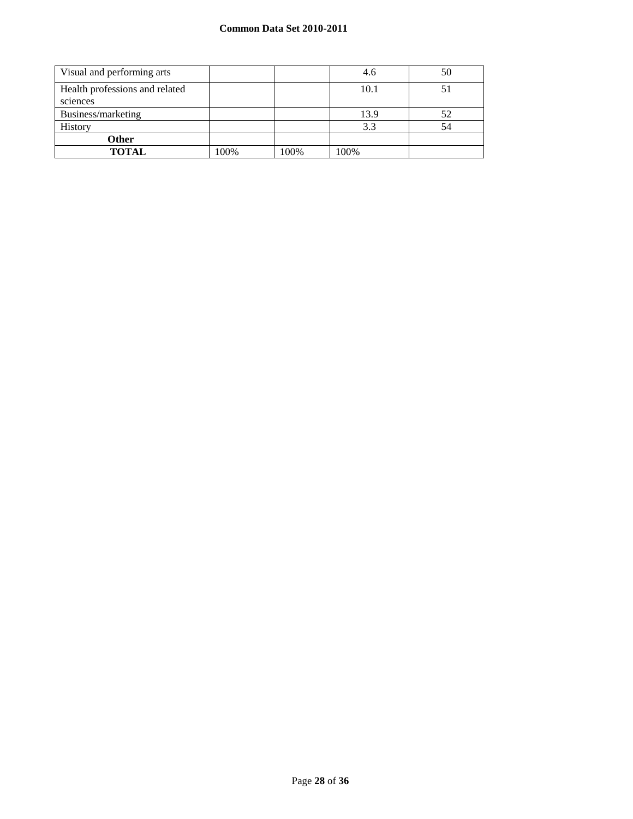## **Common Data Set 2010-2011**

| Visual and performing arts     |      |      | 4.6  | 50 |
|--------------------------------|------|------|------|----|
| Health professions and related |      |      | 10.1 |    |
| sciences                       |      |      |      |    |
| Business/marketing             |      |      | 13.9 | 52 |
| History                        |      |      | 3.3  | 54 |
| <b>Other</b>                   |      |      |      |    |
| <b>TOTAL</b>                   | 100% | 100% | 100% |    |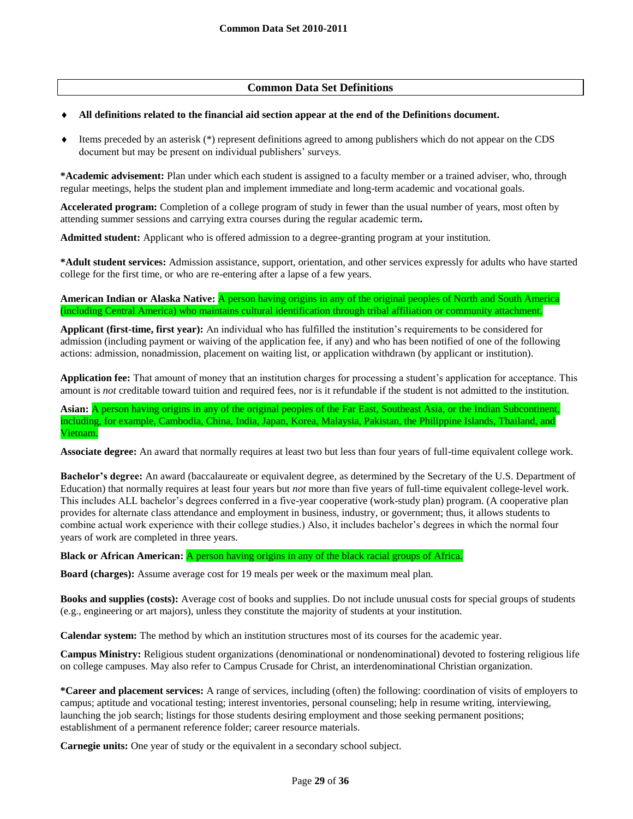## **Common Data Set Definitions**

#### **All definitions related to the financial aid section appear at the end of the Definitions document.**

 Items preceded by an asterisk (\*) represent definitions agreed to among publishers which do not appear on the CDS document but may be present on individual publishers' surveys.

**\*Academic advisement:** Plan under which each student is assigned to a faculty member or a trained adviser, who, through regular meetings, helps the student plan and implement immediate and long-term academic and vocational goals.

**Accelerated program:** Completion of a college program of study in fewer than the usual number of years, most often by attending summer sessions and carrying extra courses during the regular academic term**.**

**Admitted student:** Applicant who is offered admission to a degree-granting program at your institution.

**\*Adult student services:** Admission assistance, support, orientation, and other services expressly for adults who have started college for the first time, or who are re-entering after a lapse of a few years.

**American Indian or Alaska Native:** A person having origins in any of the original peoples of North and South America (including Central America) who maintains cultural identification through tribal affiliation or community attachment.

**Applicant (first-time, first year):** An individual who has fulfilled the institution's requirements to be considered for admission (including payment or waiving of the application fee, if any) and who has been notified of one of the following actions: admission, nonadmission, placement on waiting list, or application withdrawn (by applicant or institution).

**Application fee:** That amount of money that an institution charges for processing a student's application for acceptance. This amount is *not* creditable toward tuition and required fees, nor is it refundable if the student is not admitted to the institution.

**Asian:** A person having origins in any of the original peoples of the Far East, Southeast Asia, or the Indian Subcontinent, including, for example, Cambodia, China, India, Japan, Korea, Malaysia, Pakistan, the Philippine Islands, Thailand, and Vietnam.

**Associate degree:** An award that normally requires at least two but less than four years of full-time equivalent college work.

**Bachelor's degree:** An award (baccalaureate or equivalent degree, as determined by the Secretary of the U.S. Department of Education) that normally requires at least four years but *not* more than five years of full-time equivalent college-level work. This includes ALL bachelor's degrees conferred in a five-year cooperative (work-study plan) program. (A cooperative plan provides for alternate class attendance and employment in business, industry, or government; thus, it allows students to combine actual work experience with their college studies.) Also, it includes bachelor's degrees in which the normal four years of work are completed in three years.

**Black or African American:** A person having origins in any of the black racial groups of Africa.

**Board (charges):** Assume average cost for 19 meals per week or the maximum meal plan.

**Books and supplies (costs):** Average cost of books and supplies. Do not include unusual costs for special groups of students (e.g., engineering or art majors), unless they constitute the majority of students at your institution.

**Calendar system:** The method by which an institution structures most of its courses for the academic year.

**Campus Ministry:** Religious student organizations (denominational or nondenominational) devoted to fostering religious life on college campuses. May also refer to Campus Crusade for Christ, an interdenominational Christian organization.

**\*Career and placement services:** A range of services, including (often) the following: coordination of visits of employers to campus; aptitude and vocational testing; interest inventories, personal counseling; help in resume writing, interviewing, launching the job search; listings for those students desiring employment and those seeking permanent positions; establishment of a permanent reference folder; career resource materials.

**Carnegie units:** One year of study or the equivalent in a secondary school subject.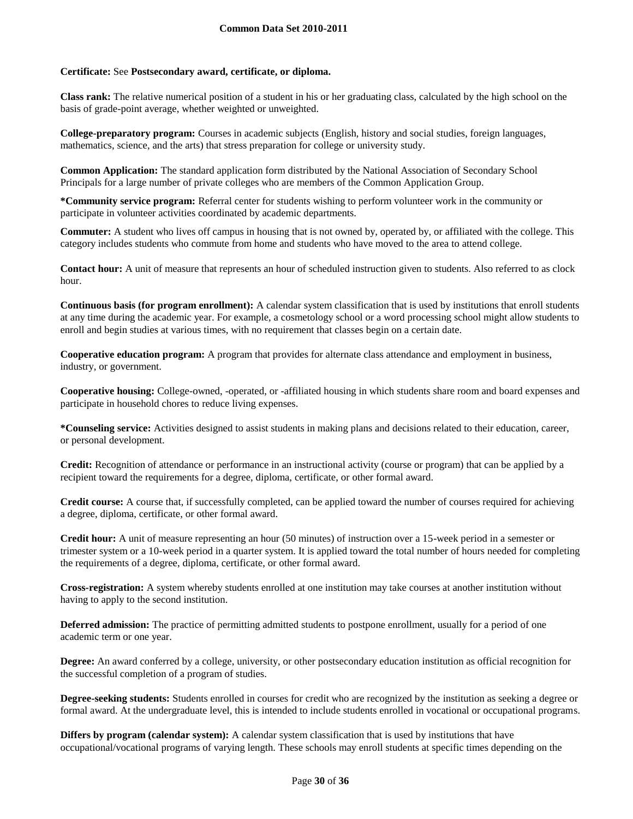### **Certificate:** See **Postsecondary award, certificate, or diploma.**

**Class rank:** The relative numerical position of a student in his or her graduating class, calculated by the high school on the basis of grade-point average, whether weighted or unweighted.

**College-preparatory program:** Courses in academic subjects (English, history and social studies, foreign languages, mathematics, science, and the arts) that stress preparation for college or university study.

**Common Application:** The standard application form distributed by the National Association of Secondary School Principals for a large number of private colleges who are members of the Common Application Group.

**\*Community service program:** Referral center for students wishing to perform volunteer work in the community or participate in volunteer activities coordinated by academic departments.

**Commuter:** A student who lives off campus in housing that is not owned by, operated by, or affiliated with the college. This category includes students who commute from home and students who have moved to the area to attend college.

**Contact hour:** A unit of measure that represents an hour of scheduled instruction given to students. Also referred to as clock hour.

**Continuous basis (for program enrollment):** A calendar system classification that is used by institutions that enroll students at any time during the academic year. For example, a cosmetology school or a word processing school might allow students to enroll and begin studies at various times, with no requirement that classes begin on a certain date.

**Cooperative education program:** A program that provides for alternate class attendance and employment in business, industry, or government.

**Cooperative housing:** College-owned, -operated, or -affiliated housing in which students share room and board expenses and participate in household chores to reduce living expenses.

**\*Counseling service:** Activities designed to assist students in making plans and decisions related to their education, career, or personal development.

**Credit:** Recognition of attendance or performance in an instructional activity (course or program) that can be applied by a recipient toward the requirements for a degree, diploma, certificate, or other formal award.

**Credit course:** A course that, if successfully completed, can be applied toward the number of courses required for achieving a degree, diploma, certificate, or other formal award.

**Credit hour:** A unit of measure representing an hour (50 minutes) of instruction over a 15-week period in a semester or trimester system or a 10-week period in a quarter system. It is applied toward the total number of hours needed for completing the requirements of a degree, diploma, certificate, or other formal award.

**Cross-registration:** A system whereby students enrolled at one institution may take courses at another institution without having to apply to the second institution.

**Deferred admission:** The practice of permitting admitted students to postpone enrollment, usually for a period of one academic term or one year.

**Degree:** An award conferred by a college, university, or other postsecondary education institution as official recognition for the successful completion of a program of studies.

**Degree-seeking students:** Students enrolled in courses for credit who are recognized by the institution as seeking a degree or formal award. At the undergraduate level, this is intended to include students enrolled in vocational or occupational programs.

**Differs by program (calendar system):** A calendar system classification that is used by institutions that have occupational/vocational programs of varying length. These schools may enroll students at specific times depending on the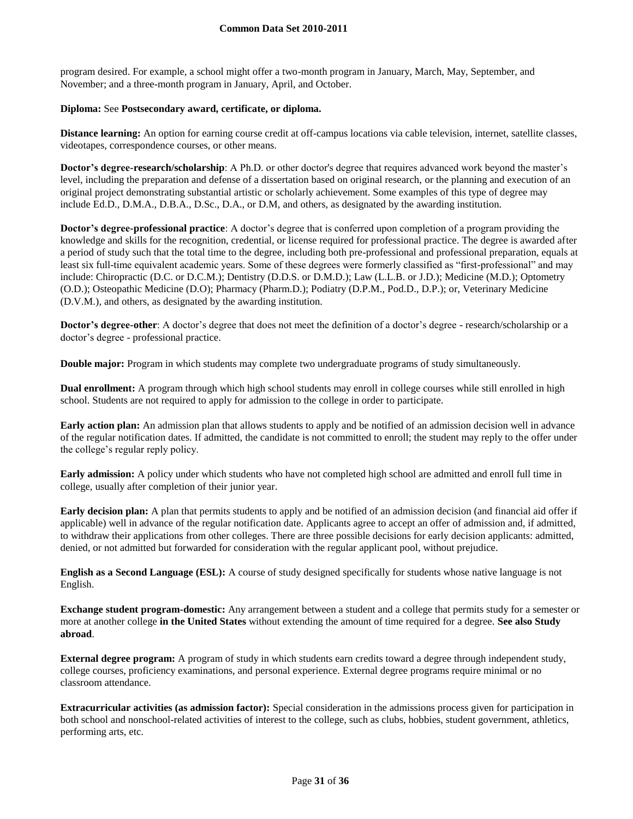program desired. For example, a school might offer a two-month program in January, March, May, September, and November; and a three-month program in January, April, and October.

#### **Diploma:** See **Postsecondary award, certificate, or diploma.**

**Distance learning:** An option for earning course credit at off-campus locations via cable television, internet, satellite classes, videotapes, correspondence courses, or other means.

**Doctor's degree-research/scholarship**: A Ph.D. or other doctor's degree that requires advanced work beyond the master's level, including the preparation and defense of a dissertation based on original research, or the planning and execution of an original project demonstrating substantial artistic or scholarly achievement. Some examples of this type of degree may include Ed.D., D.M.A., D.B.A., D.Sc., D.A., or D.M, and others, as designated by the awarding institution.

**Doctor's degree-professional practice**: A doctor's degree that is conferred upon completion of a program providing the knowledge and skills for the recognition, credential, or license required for professional practice. The degree is awarded after a period of study such that the total time to the degree, including both pre-professional and professional preparation, equals at least six full-time equivalent academic years. Some of these degrees were formerly classified as "first-professional" and may include: Chiropractic (D.C. or D.C.M.); Dentistry (D.D.S. or D.M.D.); Law (L.L.B. or J.D.); Medicine (M.D.); Optometry (O.D.); Osteopathic Medicine (D.O); Pharmacy (Pharm.D.); Podiatry (D.P.M., Pod.D., D.P.); or, Veterinary Medicine (D.V.M.), and others, as designated by the awarding institution.

**Doctor's degree-other**: A doctor's degree that does not meet the definition of a doctor's degree - research/scholarship or a doctor's degree - professional practice.

**Double major:** Program in which students may complete two undergraduate programs of study simultaneously.

**Dual enrollment:** A program through which high school students may enroll in college courses while still enrolled in high school. Students are not required to apply for admission to the college in order to participate.

**Early action plan:** An admission plan that allows students to apply and be notified of an admission decision well in advance of the regular notification dates. If admitted, the candidate is not committed to enroll; the student may reply to the offer under the college's regular reply policy.

**Early admission:** A policy under which students who have not completed high school are admitted and enroll full time in college, usually after completion of their junior year.

**Early decision plan:** A plan that permits students to apply and be notified of an admission decision (and financial aid offer if applicable) well in advance of the regular notification date. Applicants agree to accept an offer of admission and, if admitted, to withdraw their applications from other colleges. There are three possible decisions for early decision applicants: admitted, denied, or not admitted but forwarded for consideration with the regular applicant pool, without prejudice.

**English as a Second Language (ESL):** A course of study designed specifically for students whose native language is not English.

**Exchange student program-domestic:** Any arrangement between a student and a college that permits study for a semester or more at another college **in the United States** without extending the amount of time required for a degree. **See also Study abroad**.

**External degree program:** A program of study in which students earn credits toward a degree through independent study, college courses, proficiency examinations, and personal experience. External degree programs require minimal or no classroom attendance.

**Extracurricular activities (as admission factor):** Special consideration in the admissions process given for participation in both school and nonschool-related activities of interest to the college, such as clubs, hobbies, student government, athletics, performing arts, etc.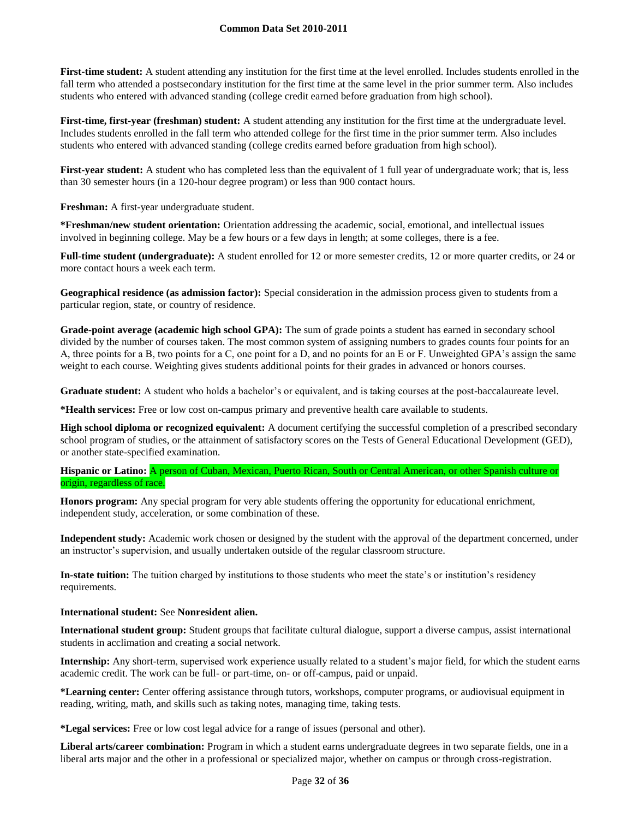First-time student: A student attending any institution for the first time at the level enrolled. Includes students enrolled in the fall term who attended a postsecondary institution for the first time at the same level in the prior summer term. Also includes students who entered with advanced standing (college credit earned before graduation from high school).

**First-time, first-year (freshman) student:** A student attending any institution for the first time at the undergraduate level. Includes students enrolled in the fall term who attended college for the first time in the prior summer term. Also includes students who entered with advanced standing (college credits earned before graduation from high school).

First-year student: A student who has completed less than the equivalent of 1 full year of undergraduate work; that is, less than 30 semester hours (in a 120-hour degree program) or less than 900 contact hours.

**Freshman:** A first-year undergraduate student.

**\*Freshman/new student orientation:** Orientation addressing the academic, social, emotional, and intellectual issues involved in beginning college. May be a few hours or a few days in length; at some colleges, there is a fee.

**Full-time student (undergraduate):** A student enrolled for 12 or more semester credits, 12 or more quarter credits, or 24 or more contact hours a week each term.

**Geographical residence (as admission factor):** Special consideration in the admission process given to students from a particular region, state, or country of residence.

**Grade-point average (academic high school GPA):** The sum of grade points a student has earned in secondary school divided by the number of courses taken. The most common system of assigning numbers to grades counts four points for an A, three points for a B, two points for a C, one point for a D, and no points for an E or F. Unweighted GPA's assign the same weight to each course. Weighting gives students additional points for their grades in advanced or honors courses.

Graduate student: A student who holds a bachelor's or equivalent, and is taking courses at the post-baccalaureate level.

**\*Health services:** Free or low cost on-campus primary and preventive health care available to students.

**High school diploma or recognized equivalent:** A document certifying the successful completion of a prescribed secondary school program of studies, or the attainment of satisfactory scores on the Tests of General Educational Development (GED), or another state-specified examination.

## **Hispanic or Latino:** A person of Cuban, Mexican, Puerto Rican, South or Central American, or other Spanish culture or origin, regardless of race.

**Honors program:** Any special program for very able students offering the opportunity for educational enrichment, independent study, acceleration, or some combination of these.

**Independent study:** Academic work chosen or designed by the student with the approval of the department concerned, under an instructor's supervision, and usually undertaken outside of the regular classroom structure.

**In-state tuition:** The tuition charged by institutions to those students who meet the state's or institution's residency requirements.

## **International student:** See **Nonresident alien.**

**International student group:** Student groups that facilitate cultural dialogue, support a diverse campus, assist international students in acclimation and creating a social network.

**Internship:** Any short-term, supervised work experience usually related to a student's major field, for which the student earns academic credit. The work can be full- or part-time, on- or off-campus, paid or unpaid.

**\*Learning center:** Center offering assistance through tutors, workshops, computer programs, or audiovisual equipment in reading, writing, math, and skills such as taking notes, managing time, taking tests.

**\*Legal services:** Free or low cost legal advice for a range of issues (personal and other).

**Liberal arts/career combination:** Program in which a student earns undergraduate degrees in two separate fields, one in a liberal arts major and the other in a professional or specialized major, whether on campus or through cross-registration.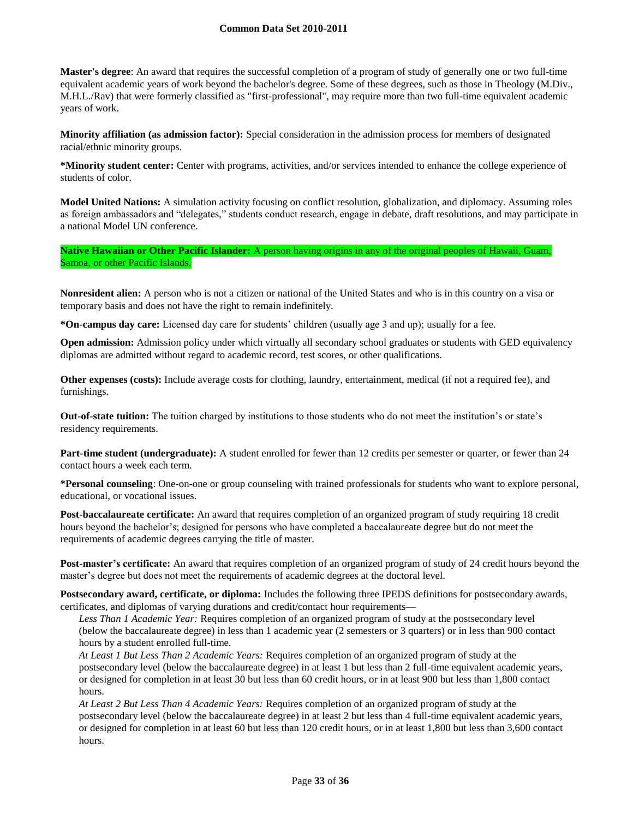#### **Common Data Set 2010-2011**

**Master's degree**: An award that requires the successful completion of a program of study of generally one or two full-time equivalent academic years of work beyond the bachelor's degree. Some of these degrees, such as those in Theology (M.Div., M.H.L./Rav) that were formerly classified as "first-professional", may require more than two full-time equivalent academic years of work.

**Minority affiliation (as admission factor):** Special consideration in the admission process for members of designated racial/ethnic minority groups.

**\*Minority student center:** Center with programs, activities, and/or services intended to enhance the college experience of students of color.

**Model United Nations:** A simulation activity focusing on conflict resolution, globalization, and diplomacy. Assuming roles as foreign ambassadors and "delegates," students conduct research, engage in debate, draft resolutions, and may participate in a national Model UN conference.

**Native Hawaiian or Other Pacific Islander:** A person having origins in any of the original peoples of Hawaii, Guam, Samoa, or other Pacific Islands.

**Nonresident alien:** A person who is not a citizen or national of the United States and who is in this country on a visa or temporary basis and does not have the right to remain indefinitely.

**\*On-campus day care:** Licensed day care for students' children (usually age 3 and up); usually for a fee.

**Open admission:** Admission policy under which virtually all secondary school graduates or students with GED equivalency diplomas are admitted without regard to academic record, test scores, or other qualifications.

**Other expenses (costs):** Include average costs for clothing, laundry, entertainment, medical (if not a required fee), and furnishings.

**Out-of-state tuition:** The tuition charged by institutions to those students who do not meet the institution's or state's residency requirements.

**Part-time student (undergraduate):** A student enrolled for fewer than 12 credits per semester or quarter, or fewer than 24 contact hours a week each term.

**\*Personal counseling**: One-on-one or group counseling with trained professionals for students who want to explore personal, educational, or vocational issues.

**Post-baccalaureate certificate:** An award that requires completion of an organized program of study requiring 18 credit hours beyond the bachelor's; designed for persons who have completed a baccalaureate degree but do not meet the requirements of academic degrees carrying the title of master.

**Post-master's certificate:** An award that requires completion of an organized program of study of 24 credit hours beyond the master's degree but does not meet the requirements of academic degrees at the doctoral level.

**Postsecondary award, certificate, or diploma:** Includes the following three IPEDS definitions for postsecondary awards, certificates, and diplomas of varying durations and credit/contact hour requirements—

*Less Than 1 Academic Year:* Requires completion of an organized program of study at the postsecondary level (below the baccalaureate degree) in less than 1 academic year (2 semesters or 3 quarters) or in less than 900 contact hours by a student enrolled full-time.

*At Least 1 But Less Than 2 Academic Years:* Requires completion of an organized program of study at the postsecondary level (below the baccalaureate degree) in at least 1 but less than 2 full-time equivalent academic years, or designed for completion in at least 30 but less than 60 credit hours, or in at least 900 but less than 1,800 contact hours.

*At Least 2 But Less Than 4 Academic Years:* Requires completion of an organized program of study at the postsecondary level (below the baccalaureate degree) in at least 2 but less than 4 full-time equivalent academic years, or designed for completion in at least 60 but less than 120 credit hours, or in at least 1,800 but less than 3,600 contact hours.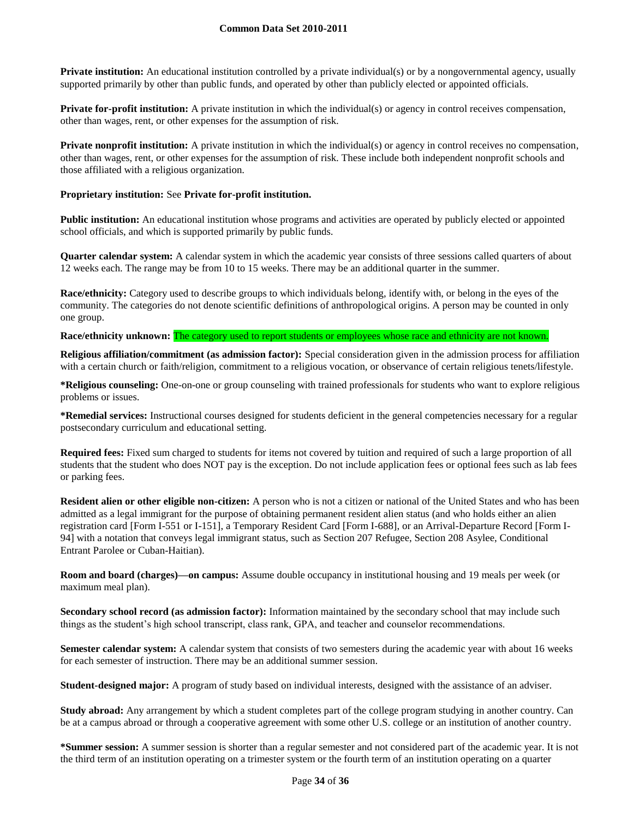**Private institution:** An educational institution controlled by a private individual(s) or by a nongovernmental agency, usually supported primarily by other than public funds, and operated by other than publicly elected or appointed officials.

**Private for-profit institution:** A private institution in which the individual(s) or agency in control receives compensation, other than wages, rent, or other expenses for the assumption of risk.

**Private nonprofit institution:** A private institution in which the individual(s) or agency in control receives no compensation, other than wages, rent, or other expenses for the assumption of risk. These include both independent nonprofit schools and those affiliated with a religious organization.

#### **Proprietary institution:** See **Private for-profit institution.**

**Public institution:** An educational institution whose programs and activities are operated by publicly elected or appointed school officials, and which is supported primarily by public funds.

**Quarter calendar system:** A calendar system in which the academic year consists of three sessions called quarters of about 12 weeks each. The range may be from 10 to 15 weeks. There may be an additional quarter in the summer.

**Race/ethnicity:** Category used to describe groups to which individuals belong, identify with, or belong in the eyes of the community. The categories do not denote scientific definitions of anthropological origins. A person may be counted in only one group.

#### **Race/ethnicity unknown:** The category used to report students or employees whose race and ethnicity are not known.

**Religious affiliation/commitment (as admission factor):** Special consideration given in the admission process for affiliation with a certain church or faith/religion, commitment to a religious vocation, or observance of certain religious tenets/lifestyle.

**\*Religious counseling:** One-on-one or group counseling with trained professionals for students who want to explore religious problems or issues.

**\*Remedial services:** Instructional courses designed for students deficient in the general competencies necessary for a regular postsecondary curriculum and educational setting.

**Required fees:** Fixed sum charged to students for items not covered by tuition and required of such a large proportion of all students that the student who does NOT pay is the exception. Do not include application fees or optional fees such as lab fees or parking fees.

**Resident alien or other eligible non-citizen:** A person who is not a citizen or national of the United States and who has been admitted as a legal immigrant for the purpose of obtaining permanent resident alien status (and who holds either an alien registration card [Form I-551 or I-151], a Temporary Resident Card [Form I-688], or an Arrival-Departure Record [Form I-94] with a notation that conveys legal immigrant status, such as Section 207 Refugee, Section 208 Asylee, Conditional Entrant Parolee or Cuban-Haitian).

**Room and board (charges)—on campus:** Assume double occupancy in institutional housing and 19 meals per week (or maximum meal plan).

**Secondary school record (as admission factor):** Information maintained by the secondary school that may include such things as the student's high school transcript, class rank, GPA, and teacher and counselor recommendations.

**Semester calendar system:** A calendar system that consists of two semesters during the academic year with about 16 weeks for each semester of instruction. There may be an additional summer session.

**Student-designed major:** A program of study based on individual interests, designed with the assistance of an adviser.

**Study abroad:** Any arrangement by which a student completes part of the college program studying in another country. Can be at a campus abroad or through a cooperative agreement with some other U.S. college or an institution of another country.

**\*Summer session:** A summer session is shorter than a regular semester and not considered part of the academic year. It is not the third term of an institution operating on a trimester system or the fourth term of an institution operating on a quarter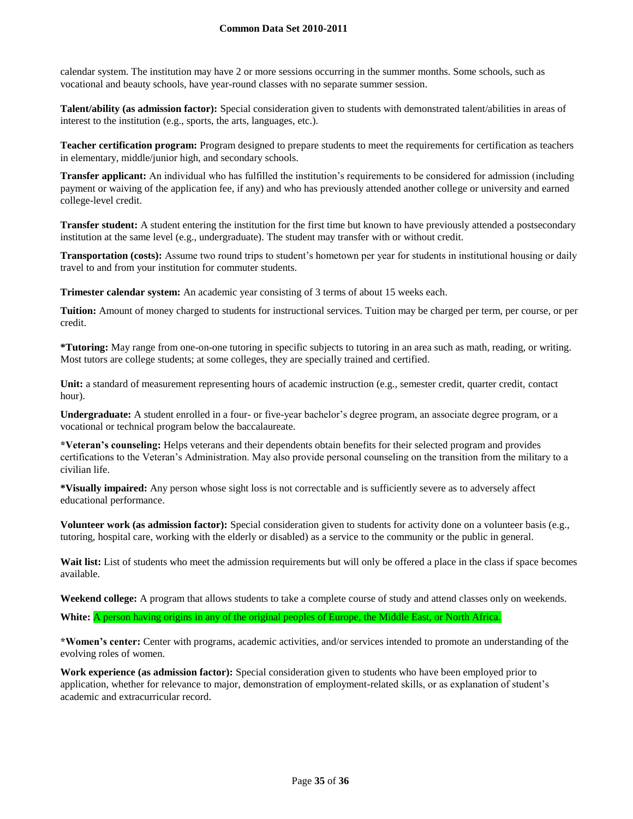#### **Common Data Set 2010-2011**

calendar system. The institution may have 2 or more sessions occurring in the summer months. Some schools, such as vocational and beauty schools, have year-round classes with no separate summer session.

**Talent/ability (as admission factor):** Special consideration given to students with demonstrated talent/abilities in areas of interest to the institution (e.g., sports, the arts, languages, etc.).

**Teacher certification program:** Program designed to prepare students to meet the requirements for certification as teachers in elementary, middle/junior high, and secondary schools.

**Transfer applicant:** An individual who has fulfilled the institution's requirements to be considered for admission (including payment or waiving of the application fee, if any) and who has previously attended another college or university and earned college-level credit.

**Transfer student:** A student entering the institution for the first time but known to have previously attended a postsecondary institution at the same level (e.g., undergraduate). The student may transfer with or without credit.

**Transportation (costs):** Assume two round trips to student's hometown per year for students in institutional housing or daily travel to and from your institution for commuter students.

**Trimester calendar system:** An academic year consisting of 3 terms of about 15 weeks each.

**Tuition:** Amount of money charged to students for instructional services. Tuition may be charged per term, per course, or per credit.

**\*Tutoring:** May range from one-on-one tutoring in specific subjects to tutoring in an area such as math, reading, or writing. Most tutors are college students; at some colleges, they are specially trained and certified.

**Unit:** a standard of measurement representing hours of academic instruction (e.g., semester credit, quarter credit, contact hour).

**Undergraduate:** A student enrolled in a four- or five-year bachelor's degree program, an associate degree program, or a vocational or technical program below the baccalaureate.

**\*Veteran's counseling:** Helps veterans and their dependents obtain benefits for their selected program and provides certifications to the Veteran's Administration. May also provide personal counseling on the transition from the military to a civilian life.

**\*Visually impaired:** Any person whose sight loss is not correctable and is sufficiently severe as to adversely affect educational performance.

**Volunteer work (as admission factor):** Special consideration given to students for activity done on a volunteer basis (e.g., tutoring, hospital care, working with the elderly or disabled) as a service to the community or the public in general.

Wait list: List of students who meet the admission requirements but will only be offered a place in the class if space becomes available.

**Weekend college:** A program that allows students to take a complete course of study and attend classes only on weekends.

White: A person having origins in any of the original peoples of Europe, the Middle East, or North Africa.

**\*Women's center:** Center with programs, academic activities, and/or services intended to promote an understanding of the evolving roles of women.

**Work experience (as admission factor):** Special consideration given to students who have been employed prior to application, whether for relevance to major, demonstration of employment-related skills, or as explanation of student's academic and extracurricular record.